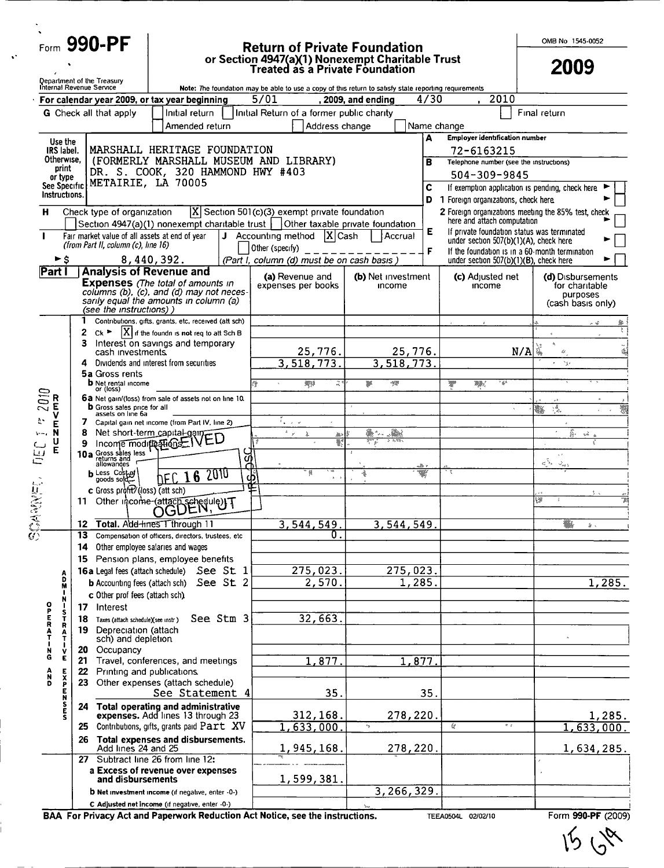Form 990-PF

### Return of Private Foundation or Section 4947(a)(1) Nonexempt Charitable Trust Treated as a Private Foundation

OMB No 1545-0052

2009

|                                         |                  |         | <b>Qepartment of the Treasury</b><br>Internal Revenue Service |                                                                            |           |                         | Note: The foundation may be able to use a copy of this return to satisfy state reporting requirements |                    |                    |      |                                                     |                      |                                                 |                      |
|-----------------------------------------|------------------|---------|---------------------------------------------------------------|----------------------------------------------------------------------------|-----------|-------------------------|-------------------------------------------------------------------------------------------------------|--------------------|--------------------|------|-----------------------------------------------------|----------------------|-------------------------------------------------|----------------------|
|                                         |                  |         |                                                               | For calendar year 2009, or tax year beginning                              |           | 5/01                    |                                                                                                       | , 2009, and ending |                    | 4/30 |                                                     | 2010                 |                                                 |                      |
|                                         |                  |         | <b>G</b> Check all that apply                                 | Initial return                                                             |           |                         | Initial Return of a former public charity                                                             |                    |                    |      |                                                     |                      | Final return                                    |                      |
|                                         |                  |         |                                                               | Amended return                                                             |           |                         | Address change                                                                                        |                    |                    |      | Name change                                         |                      |                                                 |                      |
|                                         | Use the          |         |                                                               |                                                                            |           |                         |                                                                                                       |                    |                    | A    | <b>Employer identification number</b>               |                      |                                                 |                      |
| IRS label.<br>Otherwise.                |                  |         |                                                               | MARSHALL HERITAGE FOUNDATION<br>(FORMERLY MARSHALL MUSEUM AND LIBRARY)     |           |                         |                                                                                                       |                    |                    |      | 72-6163215                                          |                      |                                                 |                      |
|                                         | print            |         |                                                               | DR. S. COOK, 320 HAMMOND HWY #403                                          |           |                         |                                                                                                       |                    |                    | в    | Telephone number (see the instructions)             |                      |                                                 |                      |
| See Specific                            | or type          |         |                                                               | METAIRIE, LA 70005                                                         |           |                         |                                                                                                       |                    |                    | С    | 504-309-9845                                        |                      | If exemption application is pending, check here |                      |
| Instructions.                           |                  |         |                                                               |                                                                            |           |                         |                                                                                                       |                    |                    |      | D 1 Foreign organizations, check here.              |                      |                                                 |                      |
| н                                       |                  |         | Check type of organization                                    |                                                                            |           |                         | $ X $ Section 501(c)(3) exempt private foundation                                                     |                    |                    |      | 2 Foreign organizations meeting the 85% test, check |                      |                                                 |                      |
|                                         |                  |         |                                                               | Section $4947(a)(1)$ nonexempt charitable trust                            |           |                         | Other taxable private foundation                                                                      |                    |                    |      | here and attach computation                         |                      |                                                 |                      |
| $\mathbf{I}$                            |                  |         |                                                               | Fair market value of all assets at end of year                             |           |                         | J Accounting method $ X $ Cash                                                                        |                    | Accrual            | E    | under section 507(b)(1)(A), check here              |                      | If private foundation status was terminated     |                      |
|                                         |                  |         | (from Part II, column (c), line 16)                           |                                                                            |           | Other (specify)         |                                                                                                       |                    |                    | F    |                                                     |                      | If the foundation is in a 60-month termination  |                      |
|                                         |                  |         |                                                               | 8,440,392.                                                                 |           |                         | (Part I, column (d) must be on cash basis)                                                            |                    |                    |      | under section 507(b)(1)(B), check here              |                      |                                                 |                      |
| Part I                                  |                  |         |                                                               | <b>Analysis of Revenue and</b><br><b>Expenses</b> (The total of amounts in |           |                         | (a) Revenue and                                                                                       |                    | (b) Net investment |      | (c) Adjusted net                                    |                      | (d) Disbursements                               |                      |
|                                         |                  |         |                                                               | columns (b), (c), and (d) may not neces-                                   |           |                         | expenses per books                                                                                    |                    | income             |      | income                                              |                      | for charitable<br>purposes                      |                      |
|                                         |                  |         | (see the instructions))                                       | sarily equal the amounts in column (a)                                     |           |                         |                                                                                                       |                    |                    |      |                                                     |                      | (cash basis only)                               |                      |
|                                         |                  | 1       |                                                               | Contributions, gifts, grants, etc, received (att sch)                      |           |                         |                                                                                                       |                    |                    |      |                                                     |                      |                                                 | 多!                   |
|                                         |                  | 2       | Ck                                                            | $ X $ if the foundn is not req to att Sch B                                |           |                         |                                                                                                       |                    |                    |      |                                                     |                      |                                                 | रा                   |
|                                         |                  | 3.      |                                                               | Interest on savings and temporary                                          |           |                         | 25,776.                                                                                               |                    | 25,776.            |      |                                                     | N/A                  | $\mathbf{x}$<br>Ì,                              |                      |
|                                         |                  | 4       | cash investments.                                             | Dividends and interest from securities                                     |           |                         | 3, 518, 773.                                                                                          |                    | 3,518,773          |      |                                                     |                      | Nyk                                             |                      |
|                                         |                  |         | <b>5a</b> Gross rents                                         |                                                                            |           |                         |                                                                                                       |                    |                    |      |                                                     |                      |                                                 |                      |
|                                         |                  |         | <b>b</b> Net rental income<br>or (loss)                       |                                                                            |           |                         | ₩<br>≈*                                                                                               |                    | ₩                  |      | W)<br>₩                                             | ∗چ'                  |                                                 |                      |
| R<br>201                                |                  |         |                                                               | 6a Net gain/(loss) from sale of assets not on line 10.                     |           |                         |                                                                                                       |                    |                    |      |                                                     |                      |                                                 |                      |
|                                         |                  |         | <b>b</b> Gross sales price for all<br>assets on line 6a       |                                                                            |           |                         |                                                                                                       |                    |                    |      |                                                     |                      | 藻<br>₩                                          | W<br>$\sim$          |
| γ.<br>Е<br>N                            |                  | 7.<br>8 |                                                               | Capital gain net income (from Part IV, line 2)                             |           | i,<br>$\mathbf{x}_{-j}$ |                                                                                                       | m                  | . Nikola           |      |                                                     |                      | ä.                                              |                      |
| U                                       |                  |         |                                                               | Net short-term capital-gaily ED                                            |           |                         | 為∧<br>¥                                                                                               |                    |                    |      |                                                     |                      |                                                 | rin a                |
| E<br>ŪΕ                                 |                  |         | 10a Gross sales less                                          |                                                                            | ζ         |                         |                                                                                                       |                    |                    |      |                                                     |                      | s, e                                            |                      |
|                                         |                  |         | returns and<br>allowances                                     | <b>2010</b>                                                                |           | ₼                       | 羲                                                                                                     |                    |                    |      |                                                     |                      | a Sa<br>$\omega_{\rm ext}$                      |                      |
|                                         |                  |         | <b>b</b> Less Cost of                                         | 16<br>NE C                                                                 |           | <u>ф</u>                |                                                                                                       |                    |                    |      |                                                     |                      |                                                 |                      |
|                                         |                  | 11.     | c Gross profit? (loss) (att sch)                              |                                                                            |           |                         |                                                                                                       |                    |                    |      |                                                     |                      | v                                               |                      |
|                                         |                  |         |                                                               | Other income-(attach schedule)                                             |           |                         |                                                                                                       |                    |                    |      |                                                     |                      |                                                 |                      |
| SCAMMET                                 |                  | 12      |                                                               | Total. Add-hnes T through 11                                               |           |                         | 3,544,549                                                                                             |                    | 3,544,549.         |      |                                                     |                      |                                                 | $\mathbf{\hat{z}}$ . |
|                                         |                  | 13      |                                                               | Compensation of officers, directors, trustees, etc                         |           |                         | 0.                                                                                                    |                    |                    |      |                                                     |                      |                                                 |                      |
|                                         |                  | 14      |                                                               | Other employee salaries and wages                                          |           |                         |                                                                                                       |                    |                    |      |                                                     |                      |                                                 |                      |
|                                         |                  |         | 16a Legal fees (attach schedule)                              | 15 Pension plans, employee benefits                                        | See St 1  |                         | 275,023.                                                                                              |                    | 275,023.           |      |                                                     |                      |                                                 |                      |
|                                         | A<br>D<br>N<br>I |         | <b>b</b> Accounting fees (attach sch)                         |                                                                            | See St 2  |                         | 2,570.                                                                                                |                    | 1,285.             |      |                                                     |                      |                                                 | 1,285.               |
|                                         |                  |         | c Other prof fees (attach sch).                               |                                                                            |           |                         |                                                                                                       |                    |                    |      |                                                     |                      |                                                 |                      |
|                                         | N<br>S<br>T      | 17      | Interest                                                      |                                                                            |           |                         |                                                                                                       |                    |                    |      |                                                     |                      |                                                 |                      |
| OPERAT                                  | R                | 18      | Taxes (attach schedule)(see instr.)                           |                                                                            | See Stm 3 |                         | 32,663.                                                                                               |                    |                    |      |                                                     |                      |                                                 |                      |
|                                         | $\frac{A}{T}$    | 19.     | Depreciation (attach<br>sch) and depletion                    |                                                                            |           |                         |                                                                                                       |                    |                    |      |                                                     |                      |                                                 |                      |
| N                                       | $\mathbf{v}$     | 20 -    | Occupancy                                                     |                                                                            |           |                         |                                                                                                       |                    |                    |      |                                                     |                      |                                                 |                      |
| G                                       | Ε                | 21      |                                                               | Travel, conferences, and meetings                                          |           |                         | 1,877                                                                                                 |                    | 1,877.             |      |                                                     |                      |                                                 |                      |
| $\begin{array}{c}\nA \\ D\n\end{array}$ |                  | 22      |                                                               | Printing and publications.                                                 |           |                         |                                                                                                       |                    |                    |      |                                                     |                      |                                                 |                      |
|                                         |                  | 23      |                                                               | Other expenses (attach schedule)<br>See Statement 4                        |           |                         | 35.                                                                                                   |                    |                    | 35.  |                                                     |                      |                                                 |                      |
|                                         | いにとりという          |         |                                                               | 24 Total operating and administrative                                      |           |                         |                                                                                                       |                    |                    |      |                                                     |                      |                                                 |                      |
|                                         |                  |         |                                                               | expenses. Add lines 13 through 23                                          |           |                         | 312, 168.                                                                                             |                    | 278,220.           |      |                                                     |                      |                                                 | 1,285.               |
|                                         |                  | 25      |                                                               | Contributions, gifts, grants paid Part XV                                  |           |                         | 1,633,000                                                                                             | $\mathbf{e}_2$     |                    |      | ⋞                                                   | $\epsilon_{\rm c,2}$ |                                                 | 1,633,000.           |
|                                         |                  | 26      | Add lines 24 and 25                                           | Total expenses and disbursements.                                          |           |                         | 1,945,168.                                                                                            |                    | 278,220.           |      |                                                     |                      |                                                 | 1,634,285.           |
|                                         |                  | 27      |                                                               | Subtract line 26 from line 12:                                             |           |                         |                                                                                                       |                    |                    |      |                                                     |                      |                                                 |                      |
|                                         |                  |         |                                                               | a Excess of revenue over expenses                                          |           |                         |                                                                                                       |                    |                    |      |                                                     |                      |                                                 |                      |
|                                         |                  |         | and disbursements                                             | <b>b</b> Net investment income (if negative, enter -0-)                    |           |                         | 1,599,381.                                                                                            |                    | 3, 266, 329.       |      |                                                     |                      |                                                 |                      |
|                                         |                  |         |                                                               | C Adjusted net income (if negative, enter -0-)                             |           |                         |                                                                                                       |                    |                    |      |                                                     |                      |                                                 |                      |
|                                         |                  |         |                                                               |                                                                            |           |                         |                                                                                                       | y.                 |                    |      |                                                     |                      |                                                 |                      |

BAA For Privacy Act and Paperwork Reduction Act Notice, see the instructions. TEEA0504L 02/02/10

Form 990-PF (2009)

 $1560$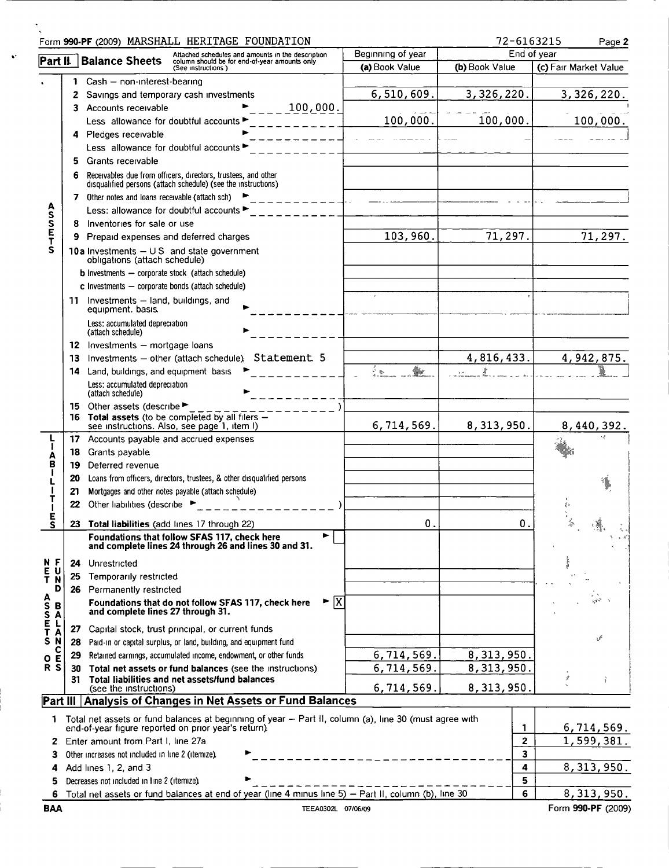|                                  |    | Form 990-PF (2009) MARSHALL HERITAGE FOUNDATION                                                                                |                   | 72-6163215     | Page 2                |
|----------------------------------|----|--------------------------------------------------------------------------------------------------------------------------------|-------------------|----------------|-----------------------|
|                                  |    | Attached schedules and amounts in the description<br>Part II. Balance Sheets<br>column should be for end-of-year amounts only  | Beginning of year |                | End of year           |
|                                  |    | (See instructions)                                                                                                             | (a) Book Value    | (b) Book Value | (c) Fair Market Value |
|                                  | 1  | Cash - non-interest-bearing                                                                                                    |                   |                |                       |
|                                  | 2  | Savings and temporary cash investments                                                                                         | 6,510,609.        | 3, 326, 220.   | 3,326,220.            |
|                                  |    | 100,000.<br>3 Accounts receivable                                                                                              |                   |                |                       |
|                                  |    | Less allowance for doubtful accounts                                                                                           | 100,000.          | 100,000.       | 100,000.              |
|                                  | 4  | Pledges receivable                                                                                                             |                   |                |                       |
|                                  |    | Less allowance for doubtful accounts                                                                                           |                   |                |                       |
|                                  | 5  | Grants receivable                                                                                                              |                   |                |                       |
|                                  |    | Receivables due from officers, directors, trustees, and other<br>disqualified persons (attach schedule) (see the instructions) |                   |                |                       |
|                                  |    | 7 Other notes and loans receivable (attach sch) $\blacktriangleright$                                                          |                   |                |                       |
| <b>ASSET</b>                     |    | Less: allowance for doubtful accounts ►                                                                                        |                   |                |                       |
|                                  | 8  | Inventories for sale or use                                                                                                    |                   |                |                       |
|                                  | 9  | Prepaid expenses and deferred charges                                                                                          | 103,960.          | 71,297.        | 71,297.               |
| S                                |    | 10a Investments $-$ U S and state government<br>obligations (attach schedule)                                                  |                   |                |                       |
|                                  |    | <b>b</b> Investments - corporate stock (attach schedule)                                                                       |                   |                |                       |
|                                  |    | $c$ Investments $-$ corporate bonds (attach schedule)                                                                          |                   |                |                       |
|                                  |    | 11 Investments - land, buildings, and<br>equipment. basis.                                                                     |                   |                |                       |
|                                  |    | Less: accumulated depreciation<br>(attach schedule)                                                                            |                   |                |                       |
|                                  |    | 12 Investments - mortgage loans                                                                                                |                   |                |                       |
|                                  | 13 | Investments - other (attach schedule) Statement 5                                                                              |                   | 4,816,433.     | 4, 942, 875.          |
|                                  |    | 14 Land, buildings, and equipment basis                                                                                        | A.<br>₩           |                |                       |
|                                  |    | Less: accumulated depreciation<br>(attach schedule)                                                                            |                   |                |                       |
|                                  |    | 15 Other assets (describe<br>16 Total assets (to be completed by all filers -<br>see instructions. Also, see page 1, item I)   | 6,714,569.        | 8, 313, 950.   | 8,440,392             |
|                                  | 17 | Accounts payable and accrued expenses                                                                                          |                   |                |                       |
|                                  | 18 | Grants payable                                                                                                                 |                   |                |                       |
| A<br>B<br>I                      | 19 | Deferred revenue                                                                                                               |                   |                |                       |
|                                  | 20 | Loans from officers, directors, trustees, & other disqualified persons                                                         |                   |                |                       |
|                                  | 21 | Mortgages and other notes payable (attach schedule)                                                                            |                   |                |                       |
|                                  | 22 | Other liabilities (describe                                                                                                    |                   |                |                       |
| E<br>S                           |    | 23 Total liabilities (add lines 17 through 22)                                                                                 | 0.                | 0.             |                       |
|                                  |    | Foundations that follow SFAS 117, check here<br>and complete lines 24 through 26 and lines 30 and 31.                          |                   |                |                       |
| N F                              | 24 | Unrestricted                                                                                                                   |                   |                |                       |
| $rac{\overline{E}}{T}$<br>U<br>Ñ | 25 | Temporarily restricted                                                                                                         |                   |                |                       |
| D                                |    | 26 Permanently restricted                                                                                                      |                   |                |                       |
| <b>ASSET</b><br>B<br>A           |    | $\blacktriangleright \overline{X}$<br>Foundations that do not follow SFAS 117, check here<br>and complete lines 27 through 31. |                   |                | ad S                  |
| L                                | 27 | Capital stock, trust principal, or current funds                                                                               |                   |                |                       |
| A<br>S<br>N                      | 28 | Paid-in or capital surplus, or land, building, and equipment fund                                                              |                   |                |                       |
| с                                | 29 | Retained earnings, accumulated income, endowment, or other funds                                                               | 6,714,569.        | 8,313,950.     |                       |
| Е<br>$\mathbf{o}$<br>R<br>S      | 30 | Total net assets or fund balances (see the instructions)                                                                       | 6,714,569.        | 8,313,950.     |                       |
|                                  | 31 | Total liabilities and net assets/fund balances<br>(see the instructions)                                                       | 6,714,569.        | 8, 313, 950.   | z                     |
|                                  |    | Part III Analysis of Changes in Net Assets or Fund Balances                                                                    |                   |                |                       |
| 1                                |    | Total net assets or fund balances at beginning of year - Part II, column (a), line 30 (must agree with                         |                   |                |                       |
|                                  |    | end-of-year figure reported on prior year's return).                                                                           |                   | 1              | 6,714,569.            |
| 2                                |    | Enter amount from Part I, line 27a                                                                                             |                   | $\overline{2}$ | 1,599,381.            |
| з                                |    | Other increases not included in line 2 (itemize).                                                                              |                   | 3              |                       |
| 4                                |    | Add lines 1, 2, and 3                                                                                                          |                   | 4              | 8, 313, 950.          |
| 5.                               |    | Decreases not included in line 2 (itemize).                                                                                    |                   | 5              |                       |

5 Decreases not included in line 2 (itemize)<br>
6 Total net assets or fund balances at end of year (line 4 minus line 5) – Part II, column (b), line 30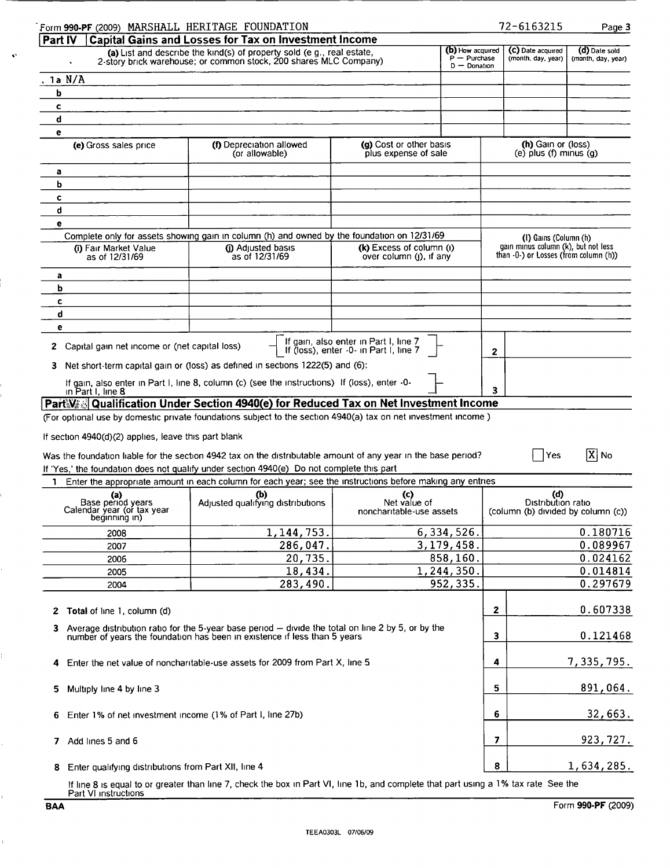| Form 990-PF (2009) MARSHALL HERITAGE FOUNDATION                         |                                                                                                                                                                                 |                                                                                 |                                                       | 72-6163215                                                      | Page 3                              |
|-------------------------------------------------------------------------|---------------------------------------------------------------------------------------------------------------------------------------------------------------------------------|---------------------------------------------------------------------------------|-------------------------------------------------------|-----------------------------------------------------------------|-------------------------------------|
| Part IV                                                                 | <b>Capital Gains and Losses for Tax on Investment Income</b>                                                                                                                    |                                                                                 |                                                       |                                                                 |                                     |
|                                                                         | (a) List and describe the kind(s) of property sold (e g., real estate,<br>2-story brick warehouse; or common stock, 200 shares MLC Company)                                     |                                                                                 | (b) How acquired<br>$P - P$ urchase<br>$D - Donation$ | (C) Date acquired<br>(month, day, year)                         | (d) Date sold<br>(month, day, year) |
| .1a N/A                                                                 |                                                                                                                                                                                 |                                                                                 |                                                       |                                                                 |                                     |
| b                                                                       |                                                                                                                                                                                 |                                                                                 |                                                       |                                                                 |                                     |
| c                                                                       |                                                                                                                                                                                 |                                                                                 |                                                       |                                                                 |                                     |
| d                                                                       |                                                                                                                                                                                 |                                                                                 |                                                       |                                                                 |                                     |
| е                                                                       |                                                                                                                                                                                 |                                                                                 |                                                       |                                                                 |                                     |
| (e) Gross sales price                                                   | (f) Depreciation allowed<br>(or allowable)                                                                                                                                      | (g) Cost or other basis<br>plus expense of sale                                 |                                                       | (h) Gain or (loss)<br>(e) $plus (f)$ minus $(q)$                |                                     |
|                                                                         |                                                                                                                                                                                 |                                                                                 |                                                       |                                                                 |                                     |
| a<br>b                                                                  |                                                                                                                                                                                 |                                                                                 |                                                       |                                                                 |                                     |
|                                                                         |                                                                                                                                                                                 |                                                                                 |                                                       |                                                                 |                                     |
| c<br>d                                                                  |                                                                                                                                                                                 |                                                                                 |                                                       |                                                                 |                                     |
|                                                                         |                                                                                                                                                                                 |                                                                                 |                                                       |                                                                 |                                     |
| е                                                                       |                                                                                                                                                                                 |                                                                                 |                                                       |                                                                 |                                     |
|                                                                         | Complete only for assets showing gain in column (h) and owned by the foundation on 12/31/69                                                                                     | (k) Excess of column (i)                                                        |                                                       | (I) Gains (Column (h)<br>gain minus column (k), but not less    |                                     |
| (i) Fair Market Value<br>as of 12/31/69                                 | (i) Adjusted basis<br>as of 12/31/69                                                                                                                                            | over column $(l)$ , if any                                                      |                                                       | than -0-) or Losses (from column (h))                           |                                     |
| a                                                                       |                                                                                                                                                                                 |                                                                                 |                                                       |                                                                 |                                     |
| b                                                                       |                                                                                                                                                                                 |                                                                                 |                                                       |                                                                 |                                     |
| C                                                                       |                                                                                                                                                                                 |                                                                                 |                                                       |                                                                 |                                     |
| d                                                                       |                                                                                                                                                                                 |                                                                                 |                                                       |                                                                 |                                     |
| е                                                                       |                                                                                                                                                                                 |                                                                                 |                                                       |                                                                 |                                     |
| 2 Capital gain net income or (net capital loss)                         |                                                                                                                                                                                 | If gain, also enter in Part I, line 7<br>If (loss), enter -0- in Part I, line 7 |                                                       | 2                                                               |                                     |
| 3.                                                                      | Net short-term capital gain or (loss) as defined in sections 1222(5) and (6):                                                                                                   |                                                                                 |                                                       |                                                                 |                                     |
| in Part I, line 8                                                       | If gain, also enter in Part I, line 8, column (c) (see the instructions) If (loss), enter -0-                                                                                   |                                                                                 |                                                       | 3                                                               |                                     |
|                                                                         | PartWad Qualification Under Section 4940(e) for Reduced Tax on Net Investment Income                                                                                            |                                                                                 |                                                       |                                                                 |                                     |
|                                                                         | (For optional use by domestic private foundations subject to the section 4940(a) tax on net investment income)                                                                  |                                                                                 |                                                       |                                                                 |                                     |
| If section 4940(d)(2) applies, leave this part blank                    |                                                                                                                                                                                 |                                                                                 |                                                       |                                                                 |                                     |
|                                                                         |                                                                                                                                                                                 |                                                                                 |                                                       |                                                                 |                                     |
|                                                                         | Was the foundation liable for the section 4942 tax on the distributable amount of any year in the base period?                                                                  |                                                                                 |                                                       | Yes                                                             | $[X]$ No                            |
|                                                                         | If 'Yes,' the foundation does not qualify under section 4940(e) Do not complete this part                                                                                       |                                                                                 |                                                       |                                                                 |                                     |
| 1                                                                       | Enter the appropriate amount in each column for each year; see the instructions before making any entries                                                                       |                                                                                 |                                                       |                                                                 |                                     |
| (a)<br>Base period years<br>Calendar year (or tax year<br>beginning in) | (b)<br>Adjusted qualifying distributions                                                                                                                                        | (c)<br>Net value of<br>noncharitable-use assets                                 |                                                       | (d)<br>Distribution ratio<br>(column (b) divided by column (c)) |                                     |
|                                                                         | 1, 144, 753.                                                                                                                                                                    | 6,334,526.                                                                      |                                                       |                                                                 | 0.180716                            |
| 2008                                                                    |                                                                                                                                                                                 | 3,179,458.                                                                      |                                                       |                                                                 | 0.089967                            |
| 2007                                                                    | 286,047.                                                                                                                                                                        |                                                                                 |                                                       |                                                                 | 0.024162                            |
| 2006                                                                    | 20,735.                                                                                                                                                                         |                                                                                 | 858,160.                                              |                                                                 | 0.014814                            |
| 2005                                                                    | 18,434.                                                                                                                                                                         | 1,244,350.                                                                      |                                                       |                                                                 |                                     |
| 2004                                                                    | 283,490.                                                                                                                                                                        |                                                                                 | 952, 335.                                             |                                                                 | 0.297679                            |
| 2 Total of line 1, column (d)                                           |                                                                                                                                                                                 |                                                                                 |                                                       | 2                                                               | 0.607338                            |
| 3.                                                                      | Average distribution ratio for the 5-year base period - divide the total on line 2 by 5, or by the<br>number of years the foundation has been in existence if less than 5 years |                                                                                 |                                                       | 3                                                               | 0.121468                            |
|                                                                         |                                                                                                                                                                                 |                                                                                 |                                                       |                                                                 |                                     |
|                                                                         | 4 Enter the net value of noncharitable-use assets for 2009 from Part X, line 5                                                                                                  |                                                                                 |                                                       | 4                                                               | 7,335,795.                          |
| Multiply line 4 by line 3<br>5.                                         |                                                                                                                                                                                 |                                                                                 |                                                       | 5                                                               | 891,064.                            |
| Enter 1% of net investment income (1% of Part I, line 27b)<br>6.        |                                                                                                                                                                                 |                                                                                 |                                                       | 6                                                               | 32,663.                             |
| 7 Add lines 5 and 6                                                     |                                                                                                                                                                                 |                                                                                 |                                                       | 7                                                               | 923, 727.                           |
| Enter qualifying distributions from Part XII, line 4<br>8.              |                                                                                                                                                                                 |                                                                                 |                                                       | 8                                                               | 1,634,285.                          |
|                                                                         |                                                                                                                                                                                 |                                                                                 |                                                       |                                                                 |                                     |

If line 8 is equal to or greater than line 7, check the box in Part VI, line 1b, and complete that part using a 1% tax rate See the<br>Part VI instructions

 $\overline{a}$ 

 $\ddot{\phantom{a}}$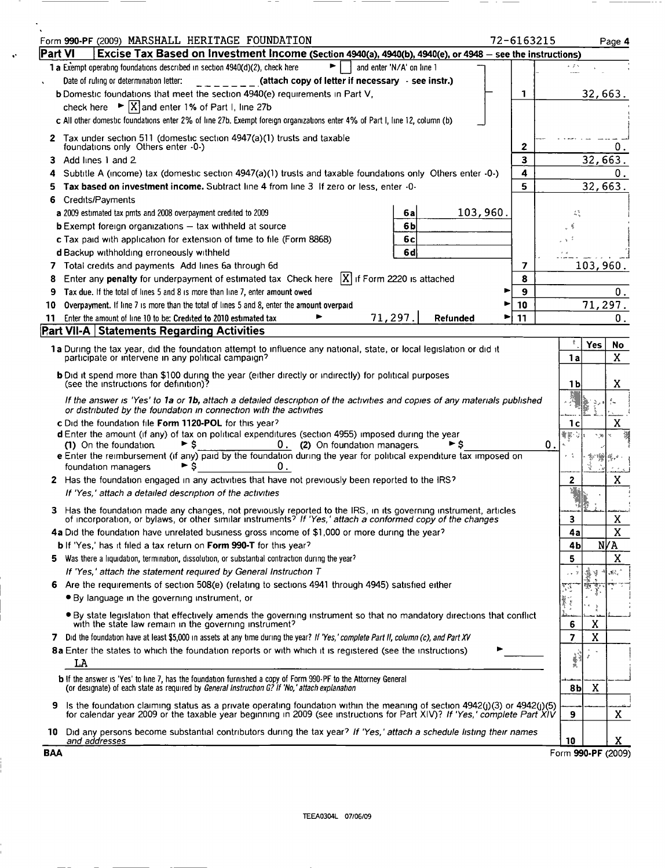| Part VI<br>Excise Tax Based on Investment Income (Section 4940(a), 4940(b), 4940(e), or 4948 - see the instructions)<br>1 a Exempt operating foundations described in section 4940(d)(2), check here<br>and enter 'N/A' on line 1<br>Date of ruling or determination letter:<br>(attach copy of letter if necessary - see instr.)<br>b Domestic foundations that meet the section 4940(e) requirements in Part V,<br>32,663.<br>1<br>$\triangleright$ $\vert X \vert$ and enter 1% of Part I, line 27b<br>check here<br>c All other domestic foundations enter 2% of line 27b. Exempt foreign organizations enter 4% of Part I, line 12, column (b)<br>2 Tax under section 511 (domestic section 4947(a)(1) trusts and taxable<br>foundations only Others enter -0-)<br>2<br>3<br>32,663.<br>Add lines 1 and 2<br>4<br>Subtitle A (income) tax (domestic section $4947(a)(1)$ trusts and taxable foundations only Others enter $-0$ -)<br>5<br>Tax based on investment income. Subtract line 4 from line 3 If zero or less, enter -0-<br>Credits/Payments<br>6<br>103,960.<br>a 2009 estimated tax pmts and 2008 overpayment credited to 2009<br>6а<br>蒜<br><b>b</b> Exempt foreign organizations $-$ tax withheld at source<br>6b<br>c Tax paid with application for extension of time to file (Form 8868)<br>6с<br>6d<br>d Backup withholding erroneously withheld<br>103,960.<br>Total credits and payments Add lines 6a through 6d<br>7<br>Enter any penalty for underpayment of estimated tax Check here $ X $ if Form 2220 is attached<br>8<br>8<br>9<br>Tax due. If the total of lines 5 and 8 is more than line 7, enter amount owed<br>Overpayment. If line 7 is more than the total of lines 5 and 8, enter the amount overpaid<br>10<br>10<br><u>71,</u> 297.<br>Enter the amount of line 10 to be: Credited to 2010 estimated tax<br>Refunded<br>11<br>11.<br><b>Part VII-A Statements Regarding Activities</b><br>耄<br><b>Yes</b><br>1a During the tax year, did the foundation attempt to influence any national, state, or local legislation or did it<br>participate or intervene in any political campaign?<br>1a<br>b Did it spend more than \$100 during the year (either directly or indirectly) for political purposes<br>(see the instructions for definition)?<br>1 b<br>If the answer is 'Yes' to 1a or 1b, attach a detailed description of the activities and copies of any materials published<br>or distributed by the foundation in connection with the activities<br>c Did the foundation file Form 1120-POL for this year?<br>1с<br>d Enter the amount (if any) of tax on political expenditures (section 4955) imposed during the year<br>QF.<br>79 P<br>0. (2) On foundation managers.<br>0.<br>(1) On the foundation<br>► ş<br>۰s<br>e Enter the reimbursement (if any) paid by the foundation during the year for political expenditure tax imposed on<br>►<br>s<br>0.<br>foundation managers<br>2 Has the foundation engaged in any activities that have not previously been reported to the IRS?<br>2<br>If 'Yes,' attach a detailed description of the activities<br>Has the foundation made any changes, not previously reported to the IRS, in its governing instrument, articles<br>of incorporation, or bylaws, or other similar instruments? If 'Yes,' attach a conformed copy of the changes<br>э<br>4a Did the foundation have unrelated business gross income of \$1,000 or more during the year?<br>4a<br><b>b</b> If 'Yes,' has it filed a tax return on <b>Form 990-T</b> for this year?<br>4b<br>5<br>Was there a liquidation, termination, dissolution, or substantial contraction during the year?<br>5.<br>If 'Yes,' attach the statement required by General Instruction T<br>4. V<br>Are the requirements of section 508(e) (relating to sections 4941 through 4945) satisfied either<br>6<br>53<br>• By language in the governing instrument, or<br>Ĭ<br>. By state legislation that effectively amends the governing instrument so that no mandatory directions that conflict<br>with the state law remain in the governing instrument?<br>Χ<br>6<br>X<br>7 Did the foundation have at least \$5,000 in assets at any time during the year? If 'Yes,' complete Part II, column (c), and Part XV<br>7<br>8a Enter the states to which the foundation reports or with which it is registered (see the instructions)<br>Ì<br>LA<br><b>b</b> If the answer is 'Yes' to line 7, has the foundation furnished a copy of Form 990-PF to the Attorney General<br>(or designate) of each state as required by General Instruction G? If 'No,' attach explanation<br>X<br>8b<br>Is the foundation claiming status as a private operating foundation within the meaning of section $4942(j)(3)$ or $4942(j)(5)$<br>9<br>for calendar year 2009 or the taxable year beginning in 2009 (see instructions for Part XIV)? If 'Yes,' complete Part XIV<br>9<br>Did any persons become substantial contributors during the tax year? If 'Yes,' attach a schedule listing their names<br>10 | Form 990-PF (2009) MARSHALL HERITAGE FOUNDATION<br>72-6163215 |    | Page 4              |
|------------------------------------------------------------------------------------------------------------------------------------------------------------------------------------------------------------------------------------------------------------------------------------------------------------------------------------------------------------------------------------------------------------------------------------------------------------------------------------------------------------------------------------------------------------------------------------------------------------------------------------------------------------------------------------------------------------------------------------------------------------------------------------------------------------------------------------------------------------------------------------------------------------------------------------------------------------------------------------------------------------------------------------------------------------------------------------------------------------------------------------------------------------------------------------------------------------------------------------------------------------------------------------------------------------------------------------------------------------------------------------------------------------------------------------------------------------------------------------------------------------------------------------------------------------------------------------------------------------------------------------------------------------------------------------------------------------------------------------------------------------------------------------------------------------------------------------------------------------------------------------------------------------------------------------------------------------------------------------------------------------------------------------------------------------------------------------------------------------------------------------------------------------------------------------------------------------------------------------------------------------------------------------------------------------------------------------------------------------------------------------------------------------------------------------------------------------------------------------------------------------------------------------------------------------------------------------------------------------------------------------------------------------------------------------------------------------------------------------------------------------------------------------------------------------------------------------------------------------------------------------------------------------------------------------------------------------------------------------------------------------------------------------------------------------------------------------------------------------------------------------------------------------------------------------------------------------------------------------------------------------------------------------------------------------------------------------------------------------------------------------------------------------------------------------------------------------------------------------------------------------------------------------------------------------------------------------------------------------------------------------------------------------------------------------------------------------------------------------------------------------------------------------------------------------------------------------------------------------------------------------------------------------------------------------------------------------------------------------------------------------------------------------------------------------------------------------------------------------------------------------------------------------------------------------------------------------------------------------------------------------------------------------------------------------------------------------------------------------------------------------------------------------------------------------------------------------------------------------------------------------------------------------------------------------------------------------------------------------------------------------------------------------------------------------------------------------------------------------------------------------------------------------------------------------------------------------------------------------------------------------------------------------------------------------------------------------------------------------------------------------------------------------|---------------------------------------------------------------|----|---------------------|
|                                                                                                                                                                                                                                                                                                                                                                                                                                                                                                                                                                                                                                                                                                                                                                                                                                                                                                                                                                                                                                                                                                                                                                                                                                                                                                                                                                                                                                                                                                                                                                                                                                                                                                                                                                                                                                                                                                                                                                                                                                                                                                                                                                                                                                                                                                                                                                                                                                                                                                                                                                                                                                                                                                                                                                                                                                                                                                                                                                                                                                                                                                                                                                                                                                                                                                                                                                                                                                                                                                                                                                                                                                                                                                                                                                                                                                                                                                                                                                                                                                                                                                                                                                                                                                                                                                                                                                                                                                                                                                                                                                                                                                                                                                                                                                                                                                                                                                                                                                                                                                    |                                                               |    |                     |
|                                                                                                                                                                                                                                                                                                                                                                                                                                                                                                                                                                                                                                                                                                                                                                                                                                                                                                                                                                                                                                                                                                                                                                                                                                                                                                                                                                                                                                                                                                                                                                                                                                                                                                                                                                                                                                                                                                                                                                                                                                                                                                                                                                                                                                                                                                                                                                                                                                                                                                                                                                                                                                                                                                                                                                                                                                                                                                                                                                                                                                                                                                                                                                                                                                                                                                                                                                                                                                                                                                                                                                                                                                                                                                                                                                                                                                                                                                                                                                                                                                                                                                                                                                                                                                                                                                                                                                                                                                                                                                                                                                                                                                                                                                                                                                                                                                                                                                                                                                                                                                    |                                                               |    |                     |
|                                                                                                                                                                                                                                                                                                                                                                                                                                                                                                                                                                                                                                                                                                                                                                                                                                                                                                                                                                                                                                                                                                                                                                                                                                                                                                                                                                                                                                                                                                                                                                                                                                                                                                                                                                                                                                                                                                                                                                                                                                                                                                                                                                                                                                                                                                                                                                                                                                                                                                                                                                                                                                                                                                                                                                                                                                                                                                                                                                                                                                                                                                                                                                                                                                                                                                                                                                                                                                                                                                                                                                                                                                                                                                                                                                                                                                                                                                                                                                                                                                                                                                                                                                                                                                                                                                                                                                                                                                                                                                                                                                                                                                                                                                                                                                                                                                                                                                                                                                                                                                    |                                                               |    |                     |
|                                                                                                                                                                                                                                                                                                                                                                                                                                                                                                                                                                                                                                                                                                                                                                                                                                                                                                                                                                                                                                                                                                                                                                                                                                                                                                                                                                                                                                                                                                                                                                                                                                                                                                                                                                                                                                                                                                                                                                                                                                                                                                                                                                                                                                                                                                                                                                                                                                                                                                                                                                                                                                                                                                                                                                                                                                                                                                                                                                                                                                                                                                                                                                                                                                                                                                                                                                                                                                                                                                                                                                                                                                                                                                                                                                                                                                                                                                                                                                                                                                                                                                                                                                                                                                                                                                                                                                                                                                                                                                                                                                                                                                                                                                                                                                                                                                                                                                                                                                                                                                    |                                                               |    | 0.                  |
|                                                                                                                                                                                                                                                                                                                                                                                                                                                                                                                                                                                                                                                                                                                                                                                                                                                                                                                                                                                                                                                                                                                                                                                                                                                                                                                                                                                                                                                                                                                                                                                                                                                                                                                                                                                                                                                                                                                                                                                                                                                                                                                                                                                                                                                                                                                                                                                                                                                                                                                                                                                                                                                                                                                                                                                                                                                                                                                                                                                                                                                                                                                                                                                                                                                                                                                                                                                                                                                                                                                                                                                                                                                                                                                                                                                                                                                                                                                                                                                                                                                                                                                                                                                                                                                                                                                                                                                                                                                                                                                                                                                                                                                                                                                                                                                                                                                                                                                                                                                                                                    |                                                               |    | О.<br>32,663.       |
|                                                                                                                                                                                                                                                                                                                                                                                                                                                                                                                                                                                                                                                                                                                                                                                                                                                                                                                                                                                                                                                                                                                                                                                                                                                                                                                                                                                                                                                                                                                                                                                                                                                                                                                                                                                                                                                                                                                                                                                                                                                                                                                                                                                                                                                                                                                                                                                                                                                                                                                                                                                                                                                                                                                                                                                                                                                                                                                                                                                                                                                                                                                                                                                                                                                                                                                                                                                                                                                                                                                                                                                                                                                                                                                                                                                                                                                                                                                                                                                                                                                                                                                                                                                                                                                                                                                                                                                                                                                                                                                                                                                                                                                                                                                                                                                                                                                                                                                                                                                                                                    |                                                               |    |                     |
|                                                                                                                                                                                                                                                                                                                                                                                                                                                                                                                                                                                                                                                                                                                                                                                                                                                                                                                                                                                                                                                                                                                                                                                                                                                                                                                                                                                                                                                                                                                                                                                                                                                                                                                                                                                                                                                                                                                                                                                                                                                                                                                                                                                                                                                                                                                                                                                                                                                                                                                                                                                                                                                                                                                                                                                                                                                                                                                                                                                                                                                                                                                                                                                                                                                                                                                                                                                                                                                                                                                                                                                                                                                                                                                                                                                                                                                                                                                                                                                                                                                                                                                                                                                                                                                                                                                                                                                                                                                                                                                                                                                                                                                                                                                                                                                                                                                                                                                                                                                                                                    |                                                               |    |                     |
|                                                                                                                                                                                                                                                                                                                                                                                                                                                                                                                                                                                                                                                                                                                                                                                                                                                                                                                                                                                                                                                                                                                                                                                                                                                                                                                                                                                                                                                                                                                                                                                                                                                                                                                                                                                                                                                                                                                                                                                                                                                                                                                                                                                                                                                                                                                                                                                                                                                                                                                                                                                                                                                                                                                                                                                                                                                                                                                                                                                                                                                                                                                                                                                                                                                                                                                                                                                                                                                                                                                                                                                                                                                                                                                                                                                                                                                                                                                                                                                                                                                                                                                                                                                                                                                                                                                                                                                                                                                                                                                                                                                                                                                                                                                                                                                                                                                                                                                                                                                                                                    |                                                               |    | О.<br>71,297.<br>0. |
|                                                                                                                                                                                                                                                                                                                                                                                                                                                                                                                                                                                                                                                                                                                                                                                                                                                                                                                                                                                                                                                                                                                                                                                                                                                                                                                                                                                                                                                                                                                                                                                                                                                                                                                                                                                                                                                                                                                                                                                                                                                                                                                                                                                                                                                                                                                                                                                                                                                                                                                                                                                                                                                                                                                                                                                                                                                                                                                                                                                                                                                                                                                                                                                                                                                                                                                                                                                                                                                                                                                                                                                                                                                                                                                                                                                                                                                                                                                                                                                                                                                                                                                                                                                                                                                                                                                                                                                                                                                                                                                                                                                                                                                                                                                                                                                                                                                                                                                                                                                                                                    |                                                               |    |                     |
|                                                                                                                                                                                                                                                                                                                                                                                                                                                                                                                                                                                                                                                                                                                                                                                                                                                                                                                                                                                                                                                                                                                                                                                                                                                                                                                                                                                                                                                                                                                                                                                                                                                                                                                                                                                                                                                                                                                                                                                                                                                                                                                                                                                                                                                                                                                                                                                                                                                                                                                                                                                                                                                                                                                                                                                                                                                                                                                                                                                                                                                                                                                                                                                                                                                                                                                                                                                                                                                                                                                                                                                                                                                                                                                                                                                                                                                                                                                                                                                                                                                                                                                                                                                                                                                                                                                                                                                                                                                                                                                                                                                                                                                                                                                                                                                                                                                                                                                                                                                                                                    |                                                               |    | No<br>X             |
|                                                                                                                                                                                                                                                                                                                                                                                                                                                                                                                                                                                                                                                                                                                                                                                                                                                                                                                                                                                                                                                                                                                                                                                                                                                                                                                                                                                                                                                                                                                                                                                                                                                                                                                                                                                                                                                                                                                                                                                                                                                                                                                                                                                                                                                                                                                                                                                                                                                                                                                                                                                                                                                                                                                                                                                                                                                                                                                                                                                                                                                                                                                                                                                                                                                                                                                                                                                                                                                                                                                                                                                                                                                                                                                                                                                                                                                                                                                                                                                                                                                                                                                                                                                                                                                                                                                                                                                                                                                                                                                                                                                                                                                                                                                                                                                                                                                                                                                                                                                                                                    |                                                               |    | x                   |
|                                                                                                                                                                                                                                                                                                                                                                                                                                                                                                                                                                                                                                                                                                                                                                                                                                                                                                                                                                                                                                                                                                                                                                                                                                                                                                                                                                                                                                                                                                                                                                                                                                                                                                                                                                                                                                                                                                                                                                                                                                                                                                                                                                                                                                                                                                                                                                                                                                                                                                                                                                                                                                                                                                                                                                                                                                                                                                                                                                                                                                                                                                                                                                                                                                                                                                                                                                                                                                                                                                                                                                                                                                                                                                                                                                                                                                                                                                                                                                                                                                                                                                                                                                                                                                                                                                                                                                                                                                                                                                                                                                                                                                                                                                                                                                                                                                                                                                                                                                                                                                    |                                                               |    |                     |
|                                                                                                                                                                                                                                                                                                                                                                                                                                                                                                                                                                                                                                                                                                                                                                                                                                                                                                                                                                                                                                                                                                                                                                                                                                                                                                                                                                                                                                                                                                                                                                                                                                                                                                                                                                                                                                                                                                                                                                                                                                                                                                                                                                                                                                                                                                                                                                                                                                                                                                                                                                                                                                                                                                                                                                                                                                                                                                                                                                                                                                                                                                                                                                                                                                                                                                                                                                                                                                                                                                                                                                                                                                                                                                                                                                                                                                                                                                                                                                                                                                                                                                                                                                                                                                                                                                                                                                                                                                                                                                                                                                                                                                                                                                                                                                                                                                                                                                                                                                                                                                    |                                                               |    | x                   |
|                                                                                                                                                                                                                                                                                                                                                                                                                                                                                                                                                                                                                                                                                                                                                                                                                                                                                                                                                                                                                                                                                                                                                                                                                                                                                                                                                                                                                                                                                                                                                                                                                                                                                                                                                                                                                                                                                                                                                                                                                                                                                                                                                                                                                                                                                                                                                                                                                                                                                                                                                                                                                                                                                                                                                                                                                                                                                                                                                                                                                                                                                                                                                                                                                                                                                                                                                                                                                                                                                                                                                                                                                                                                                                                                                                                                                                                                                                                                                                                                                                                                                                                                                                                                                                                                                                                                                                                                                                                                                                                                                                                                                                                                                                                                                                                                                                                                                                                                                                                                                                    |                                                               |    | X                   |
|                                                                                                                                                                                                                                                                                                                                                                                                                                                                                                                                                                                                                                                                                                                                                                                                                                                                                                                                                                                                                                                                                                                                                                                                                                                                                                                                                                                                                                                                                                                                                                                                                                                                                                                                                                                                                                                                                                                                                                                                                                                                                                                                                                                                                                                                                                                                                                                                                                                                                                                                                                                                                                                                                                                                                                                                                                                                                                                                                                                                                                                                                                                                                                                                                                                                                                                                                                                                                                                                                                                                                                                                                                                                                                                                                                                                                                                                                                                                                                                                                                                                                                                                                                                                                                                                                                                                                                                                                                                                                                                                                                                                                                                                                                                                                                                                                                                                                                                                                                                                                                    |                                                               |    | X<br>$\mathbf X$    |
|                                                                                                                                                                                                                                                                                                                                                                                                                                                                                                                                                                                                                                                                                                                                                                                                                                                                                                                                                                                                                                                                                                                                                                                                                                                                                                                                                                                                                                                                                                                                                                                                                                                                                                                                                                                                                                                                                                                                                                                                                                                                                                                                                                                                                                                                                                                                                                                                                                                                                                                                                                                                                                                                                                                                                                                                                                                                                                                                                                                                                                                                                                                                                                                                                                                                                                                                                                                                                                                                                                                                                                                                                                                                                                                                                                                                                                                                                                                                                                                                                                                                                                                                                                                                                                                                                                                                                                                                                                                                                                                                                                                                                                                                                                                                                                                                                                                                                                                                                                                                                                    |                                                               |    | N∤A<br>X            |
|                                                                                                                                                                                                                                                                                                                                                                                                                                                                                                                                                                                                                                                                                                                                                                                                                                                                                                                                                                                                                                                                                                                                                                                                                                                                                                                                                                                                                                                                                                                                                                                                                                                                                                                                                                                                                                                                                                                                                                                                                                                                                                                                                                                                                                                                                                                                                                                                                                                                                                                                                                                                                                                                                                                                                                                                                                                                                                                                                                                                                                                                                                                                                                                                                                                                                                                                                                                                                                                                                                                                                                                                                                                                                                                                                                                                                                                                                                                                                                                                                                                                                                                                                                                                                                                                                                                                                                                                                                                                                                                                                                                                                                                                                                                                                                                                                                                                                                                                                                                                                                    |                                                               |    | 48., °              |
|                                                                                                                                                                                                                                                                                                                                                                                                                                                                                                                                                                                                                                                                                                                                                                                                                                                                                                                                                                                                                                                                                                                                                                                                                                                                                                                                                                                                                                                                                                                                                                                                                                                                                                                                                                                                                                                                                                                                                                                                                                                                                                                                                                                                                                                                                                                                                                                                                                                                                                                                                                                                                                                                                                                                                                                                                                                                                                                                                                                                                                                                                                                                                                                                                                                                                                                                                                                                                                                                                                                                                                                                                                                                                                                                                                                                                                                                                                                                                                                                                                                                                                                                                                                                                                                                                                                                                                                                                                                                                                                                                                                                                                                                                                                                                                                                                                                                                                                                                                                                                                    |                                                               |    |                     |
|                                                                                                                                                                                                                                                                                                                                                                                                                                                                                                                                                                                                                                                                                                                                                                                                                                                                                                                                                                                                                                                                                                                                                                                                                                                                                                                                                                                                                                                                                                                                                                                                                                                                                                                                                                                                                                                                                                                                                                                                                                                                                                                                                                                                                                                                                                                                                                                                                                                                                                                                                                                                                                                                                                                                                                                                                                                                                                                                                                                                                                                                                                                                                                                                                                                                                                                                                                                                                                                                                                                                                                                                                                                                                                                                                                                                                                                                                                                                                                                                                                                                                                                                                                                                                                                                                                                                                                                                                                                                                                                                                                                                                                                                                                                                                                                                                                                                                                                                                                                                                                    |                                                               |    |                     |
|                                                                                                                                                                                                                                                                                                                                                                                                                                                                                                                                                                                                                                                                                                                                                                                                                                                                                                                                                                                                                                                                                                                                                                                                                                                                                                                                                                                                                                                                                                                                                                                                                                                                                                                                                                                                                                                                                                                                                                                                                                                                                                                                                                                                                                                                                                                                                                                                                                                                                                                                                                                                                                                                                                                                                                                                                                                                                                                                                                                                                                                                                                                                                                                                                                                                                                                                                                                                                                                                                                                                                                                                                                                                                                                                                                                                                                                                                                                                                                                                                                                                                                                                                                                                                                                                                                                                                                                                                                                                                                                                                                                                                                                                                                                                                                                                                                                                                                                                                                                                                                    |                                                               |    |                     |
|                                                                                                                                                                                                                                                                                                                                                                                                                                                                                                                                                                                                                                                                                                                                                                                                                                                                                                                                                                                                                                                                                                                                                                                                                                                                                                                                                                                                                                                                                                                                                                                                                                                                                                                                                                                                                                                                                                                                                                                                                                                                                                                                                                                                                                                                                                                                                                                                                                                                                                                                                                                                                                                                                                                                                                                                                                                                                                                                                                                                                                                                                                                                                                                                                                                                                                                                                                                                                                                                                                                                                                                                                                                                                                                                                                                                                                                                                                                                                                                                                                                                                                                                                                                                                                                                                                                                                                                                                                                                                                                                                                                                                                                                                                                                                                                                                                                                                                                                                                                                                                    |                                                               |    |                     |
|                                                                                                                                                                                                                                                                                                                                                                                                                                                                                                                                                                                                                                                                                                                                                                                                                                                                                                                                                                                                                                                                                                                                                                                                                                                                                                                                                                                                                                                                                                                                                                                                                                                                                                                                                                                                                                                                                                                                                                                                                                                                                                                                                                                                                                                                                                                                                                                                                                                                                                                                                                                                                                                                                                                                                                                                                                                                                                                                                                                                                                                                                                                                                                                                                                                                                                                                                                                                                                                                                                                                                                                                                                                                                                                                                                                                                                                                                                                                                                                                                                                                                                                                                                                                                                                                                                                                                                                                                                                                                                                                                                                                                                                                                                                                                                                                                                                                                                                                                                                                                                    |                                                               |    | x                   |
| Form 990-PF (2009)<br>BAA                                                                                                                                                                                                                                                                                                                                                                                                                                                                                                                                                                                                                                                                                                                                                                                                                                                                                                                                                                                                                                                                                                                                                                                                                                                                                                                                                                                                                                                                                                                                                                                                                                                                                                                                                                                                                                                                                                                                                                                                                                                                                                                                                                                                                                                                                                                                                                                                                                                                                                                                                                                                                                                                                                                                                                                                                                                                                                                                                                                                                                                                                                                                                                                                                                                                                                                                                                                                                                                                                                                                                                                                                                                                                                                                                                                                                                                                                                                                                                                                                                                                                                                                                                                                                                                                                                                                                                                                                                                                                                                                                                                                                                                                                                                                                                                                                                                                                                                                                                                                          | and addresses                                                 | 10 | x.                  |

 $\ddot{\phantom{a}}$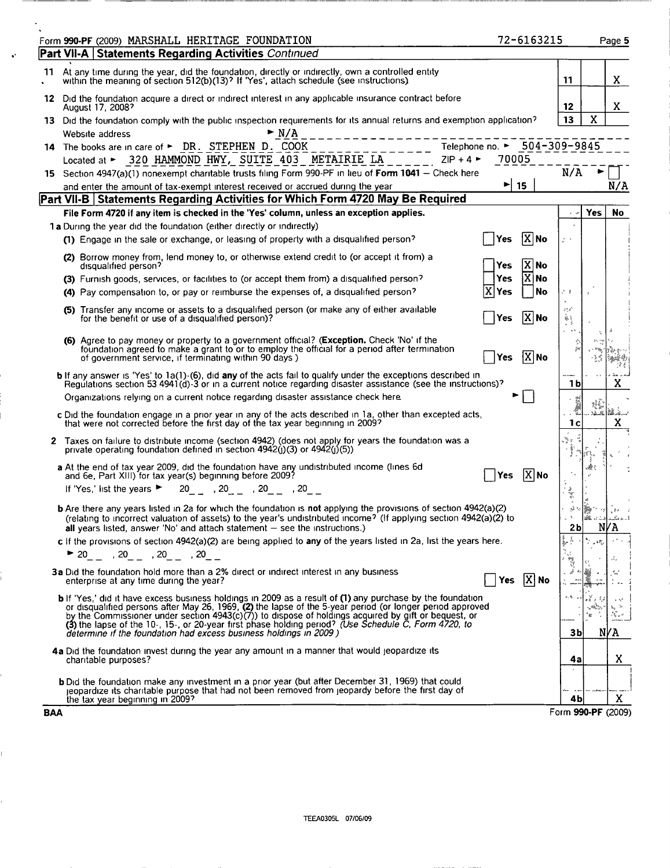|     | Form 990-PF (2009) MARSHALL HERITAGE FOUNDATION                                                                                                                                                                                                                                                                                                                                                                                                                                                                     |                          | 72-6163215        |                     |              | Page 5                  |
|-----|---------------------------------------------------------------------------------------------------------------------------------------------------------------------------------------------------------------------------------------------------------------------------------------------------------------------------------------------------------------------------------------------------------------------------------------------------------------------------------------------------------------------|--------------------------|-------------------|---------------------|--------------|-------------------------|
|     | <b>Part VII-A   Statements Regarding Activities Continued</b>                                                                                                                                                                                                                                                                                                                                                                                                                                                       |                          |                   |                     |              |                         |
| 11  | At any time during the year, did the foundation, directly or indirectly, own a controlled entity<br>within the meaning of section 512(b)(13)? If 'Yes', attach schedule (see instructions).                                                                                                                                                                                                                                                                                                                         |                          |                   | 11                  |              | X                       |
| 12  | Did the foundation acquire a direct or indirect interest in any applicable insurance contract before<br>August 17, 2008?                                                                                                                                                                                                                                                                                                                                                                                            |                          |                   | 12                  |              | X.                      |
|     | 13 Did the foundation comply with the public inspection requirements for its annual returns and exemption application?<br>$\blacktriangleright$ N/A<br>Website address                                                                                                                                                                                                                                                                                                                                              |                          |                   | 13                  | X            |                         |
| 14. | Telephone no. ► 504-309-9845<br>The books are in care of ► DR. STEPHEN D. COOK<br>Located at ► 320 HAMMOND HWY, SUITE 403 METAIRIE LA<br>$ZIP + 4$                                                                                                                                                                                                                                                                                                                                                                  | 70005                    |                   |                     |              |                         |
| 15. | Section 4947(a)(1) nonexempt charitable trusts filing Form 990-PF in lieu of Form 1041 - Check here                                                                                                                                                                                                                                                                                                                                                                                                                 |                          |                   | N/A                 |              |                         |
|     | and enter the amount of tax-exempt interest received or accrued during the year                                                                                                                                                                                                                                                                                                                                                                                                                                     | $\blacktriangleright$ 15 |                   |                     |              | N/A                     |
|     | Part VII-B   Statements Regarding Activities for Which Form 4720 May Be Required                                                                                                                                                                                                                                                                                                                                                                                                                                    |                          |                   |                     |              |                         |
|     | File Form 4720 if any item is checked in the 'Yes' column, unless an exception applies.                                                                                                                                                                                                                                                                                                                                                                                                                             |                          |                   |                     | Yes          | No                      |
|     | 1 a During the year did the foundation (either directly or indirectly)<br>(1) Engage in the sale or exchange, or leasing of property with a disqualified person?                                                                                                                                                                                                                                                                                                                                                    | Yes                      | $ \mathbf{X} $ No | $\mathcal{E}^{(1)}$ |              |                         |
|     | (2) Borrow money from, lend money to, or otherwise extend credit to (or accept it from) a<br>disqualified person?                                                                                                                                                                                                                                                                                                                                                                                                   | Yes                      | X No              |                     |              |                         |
|     | (3) Furnish goods, services, or facilities to (or accept them from) a disqualified person?<br>(4) Pay compensation to, or pay or reimburse the expenses of, a disqualified person?                                                                                                                                                                                                                                                                                                                                  | <b>Yes</b><br>Yes        | $X$ No<br>No      | さす                  | $\vec{u}$    |                         |
|     | (5) Transfer any income or assets to a disqualified person (or make any of either available<br>for the benefit or use of a disqualified person)?                                                                                                                                                                                                                                                                                                                                                                    | Yes                      | $X$ No            | sr, f               |              |                         |
|     | <b>(6)</b> Agree to pay money or property to a government official? (Exception. Check 'No' if the<br>foundation agreed to make a grant to or to employ the official for a period after termination<br>of government service, if terminating within 90 days)                                                                                                                                                                                                                                                         | <b>Yes</b>               | $ X $ No          |                     |              |                         |
|     | b If any answer is 'Yes' to 1a(1)-(6), did any of the acts fail to qualify under the exceptions described in<br>Regulations section 53 4941(d) 3 or in a current notice regarding disaster assistance (see the instructions)?                                                                                                                                                                                                                                                                                       |                          |                   | 1 b                 |              | x                       |
|     | Organizations relying on a current notice regarding disaster assistance check here.                                                                                                                                                                                                                                                                                                                                                                                                                                 |                          |                   |                     |              |                         |
|     | c Did the foundation engage in a prior year in any of the acts described in 1a, other than excepted acts, that were not corrected before the first day of the tax year beginning in 2009?                                                                                                                                                                                                                                                                                                                           |                          |                   | 1с                  | ti y<br>32.8 | .<br>Mark med<br>X      |
|     | 2 Taxes on failure to distribute income (section 4942) (does not apply for years the foundation was a<br>private operating foundation defined in section $4942(j)(3)$ or $4942(j)(5)$ )                                                                                                                                                                                                                                                                                                                             |                          |                   |                     |              |                         |
|     | a At the end of tax year 2009, did the foundation have any undistributed income (lines 6d<br>and 6e, Part XIII) for tax year(s) beginning before 2009?                                                                                                                                                                                                                                                                                                                                                              | Yes                      | $ X $ No          |                     | Æ.           |                         |
|     | If 'Yes,' list the years $\blacktriangleright$<br>$20$ , $20$ , $20$ , $20$ , $20$ , $20$                                                                                                                                                                                                                                                                                                                                                                                                                           |                          |                   |                     |              |                         |
|     | <b>b</b> Are there any years listed in 2a for which the foundation is not applying the provisions of section 4942(a)(2)<br>(relating to incorrect valuation of assets) to the year's undistributed income? (If applying section 4942(a)(2) to<br>all years listed, answer 'No' and attach statement $-$ see the instructions.)                                                                                                                                                                                      |                          |                   | 2b                  |              | NV A                    |
|     | c If the provisions of section 4942(a)(2) are being applied to any of the years listed in 2a, list the years here.                                                                                                                                                                                                                                                                                                                                                                                                  |                          |                   |                     |              |                         |
|     | ▶ 20_ _ ,20_ _ ,20_ _ ,20_ _<br>3a Did the foundation hold more than a 2% direct or indirect interest in any business<br>enterprise at any time during the year?                                                                                                                                                                                                                                                                                                                                                    |                          | Yes $[X]$ No      |                     |              |                         |
|     | <b>b</b> If 'Yes,' did it have excess business holdings in 2009 as a result of (1) any purchase by the foundation<br>or disqualified persons after May 26, 1969, (2) the lapse of the 5-year period (or longer period approved<br>by the Commissioner under section 4943(c)(7)) to dispose of holdings acquired by gift or bequest, or<br>(3) the lapse of the 10-, 15-, or 20-year first phase holding period? (Use Schedule C, Form 4720, to<br>determine if the foundation had excess business holdings in 2009) |                          |                   | Зb                  | ۰.           | NVA                     |
|     | 4a Did the foundation invest during the year any amount in a manner that would jeopardize its<br>charitable purposes?                                                                                                                                                                                                                                                                                                                                                                                               |                          |                   | 4a                  |              | X                       |
|     | <b>b</b> Did the foundation make any investment in a prior year (but after December 31, 1969) that could<br>jeopardize its charitable purpose that had not been removed from jeopardy before the first day of                                                                                                                                                                                                                                                                                                       |                          |                   |                     |              |                         |
|     | the tax year beginning in 2009?<br><b>BAA</b>                                                                                                                                                                                                                                                                                                                                                                                                                                                                       |                          |                   | 4b                  |              | X<br>Form 990-PF (2009) |

Ī.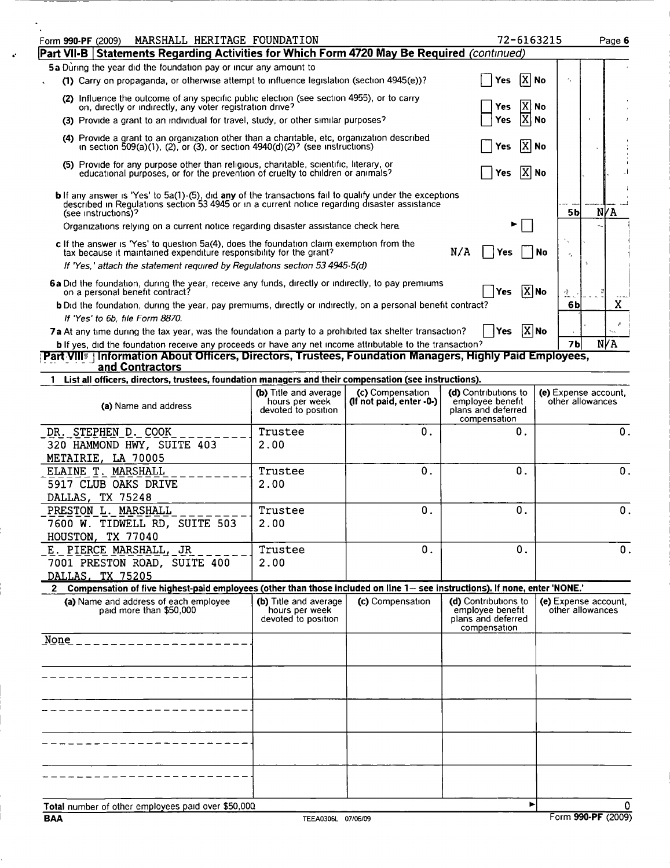| MARSHALL HERITAGE FOUNDATION<br>Form 990-PF (2009)<br>Part VII-B   Statements Regarding Activities for Which Form 4720 May Be Required (continued)                                                                                                    |                                                                       |                                              | 72-6163215                                                                     |                                 | Page 6                                   |
|-------------------------------------------------------------------------------------------------------------------------------------------------------------------------------------------------------------------------------------------------------|-----------------------------------------------------------------------|----------------------------------------------|--------------------------------------------------------------------------------|---------------------------------|------------------------------------------|
|                                                                                                                                                                                                                                                       |                                                                       |                                              |                                                                                |                                 |                                          |
| 5a During the year did the foundation pay or incur any amount to<br>(1) Carry on propaganda, or otherwise attempt to influence legislation (section 4945(e))?                                                                                         |                                                                       |                                              | $ X $ No<br><b>Yes</b>                                                         | 4                               |                                          |
| (2) Influence the outcome of any specific public election (see section 4955), or to carry                                                                                                                                                             |                                                                       |                                              | X                                                                              | No                              |                                          |
| on, directly or indirectly, any voter registration drive?<br>(3) Provide a grant to an individual for travel, study, or other similar purposes?                                                                                                       |                                                                       |                                              | Yes<br> x <br><b>Yes</b>                                                       | No                              |                                          |
| (4) Provide a grant to an organization other than a charitable, etc, organization described<br>in section $509(a)(1)$ , (2), or (3), or section $4940(d)(2)^{2}$ (see instructions)                                                                   |                                                                       |                                              | Yes                                                                            | $ X $ No                        |                                          |
| (5) Provide for any purpose other than religious, charitable, scientific, literary, or<br>educational purposes, or for the prevention of cruelty to children or animals?                                                                              |                                                                       |                                              | Yes                                                                            | $ X $ No                        |                                          |
| <b>b</b> If any answer is 'Yes' to 5a(1)-(5), did any of the transactions fail to qualify under the exceptions<br>described in Regulations section 53 4945 or in a current notice regarding disaster assistance                                       |                                                                       |                                              |                                                                                |                                 | N/A                                      |
| (see instructions)?<br>Organizations relying on a current notice regarding disaster assistance check here.                                                                                                                                            |                                                                       |                                              |                                                                                | 5b                              |                                          |
| c If the answer is 'Yes' to question 5a(4), does the foundation claim exemption from the<br>tax because it maintained expenditure responsibility for the grant?<br>If 'Yes,' attach the statement required by Requiations section 53 4945-5(d)        |                                                                       |                                              | N/A<br>Yes                                                                     | ۰.<br>No<br>×,                  |                                          |
|                                                                                                                                                                                                                                                       |                                                                       |                                              |                                                                                |                                 |                                          |
| 6a Did the foundation, during the year, receive any funds, directly or indirectly, to pay premiums<br>on a personal benefit contract?<br>b Did the foundation, during the year, pay premiums, directly or indirectly, on a personal benefit contract? |                                                                       |                                              | <b>Yes</b>                                                                     | $ \overline{X} $ No<br>纟.<br>6b | x                                        |
| If 'Yes' to 6b, file Form 8870.                                                                                                                                                                                                                       |                                                                       |                                              |                                                                                |                                 |                                          |
| 7a At any time during the tax year, was the foundation a party to a prohibited tax shelter transaction?                                                                                                                                               |                                                                       |                                              | <b>Yes</b>                                                                     | $ X $ No                        | ×                                        |
| <b>b</b> If yes, did the foundation receive any proceeds or have any net income attributable to the transaction?                                                                                                                                      |                                                                       |                                              |                                                                                | 7 <sub>b</sub>                  | N/A                                      |
| Part VIII <sup>®</sup> Information About Officers, Directors, Trustees, Foundation Managers, Highly Paid Employees,                                                                                                                                   |                                                                       |                                              |                                                                                |                                 |                                          |
| and Contractors                                                                                                                                                                                                                                       |                                                                       |                                              |                                                                                |                                 |                                          |
| 1 List all officers, directors, trustees, foundation managers and their compensation (see instructions).                                                                                                                                              |                                                                       |                                              |                                                                                |                                 |                                          |
| (a) Name and address                                                                                                                                                                                                                                  | <b>(b)</b> Title and average<br>hours per week<br>devoted to position | (c) Compensation<br>(If not paid, enter -0-) | (d) Contributions to<br>employee benefit<br>plans and deferred<br>compensation |                                 | (e) Expense account,<br>other allowances |
| STEPHEN D. COOK<br>DR.<br>320 HAMMOND HWY, SUITE 403                                                                                                                                                                                                  | Trustee<br>2.00                                                       | О.                                           | 0.                                                                             |                                 | 0.                                       |
| METAIRIE, LA 70005                                                                                                                                                                                                                                    |                                                                       |                                              |                                                                                |                                 |                                          |
| ELAINE T. MARSHALL                                                                                                                                                                                                                                    | Trustee                                                               | $\mathbf 0$ .                                | $\mathbf 0$ .                                                                  |                                 | $\mathbf{0}$ .                           |
| 5917 CLUB OAKS DRIVE                                                                                                                                                                                                                                  | 2.00                                                                  |                                              |                                                                                |                                 |                                          |
| DALLAS, TX 75248                                                                                                                                                                                                                                      |                                                                       |                                              |                                                                                |                                 |                                          |
| <b>PRESTON L. MARSHALL</b>                                                                                                                                                                                                                            | Trustee                                                               | 0.                                           | 0.                                                                             |                                 | $\mathbf 0$                              |
| 7600 W. TIDWELL RD, SUITE 503                                                                                                                                                                                                                         | 2.00                                                                  |                                              |                                                                                |                                 |                                          |
| HOUSTON, TX 77040                                                                                                                                                                                                                                     |                                                                       |                                              |                                                                                |                                 |                                          |
| E. PIERCE MARSHALL, JR                                                                                                                                                                                                                                | Trustee                                                               | 0.                                           | 0.                                                                             |                                 | 0.                                       |
| 7001 PRESTON ROAD, SUITE 400                                                                                                                                                                                                                          | 2.00                                                                  |                                              |                                                                                |                                 |                                          |
| DALLAS, TX 75205                                                                                                                                                                                                                                      |                                                                       |                                              |                                                                                |                                 |                                          |
| 2 Compensation of five highest-paid employees (other than those included on line 1- see instructions). If none, enter 'NONE.'                                                                                                                         |                                                                       |                                              |                                                                                |                                 |                                          |
| (a) Name and address of each employee<br>paid more than \$50,000                                                                                                                                                                                      | (b) Title and average<br>hours per week<br>devoted to position        | (c) Compensation                             | (d) Contributions to<br>employee benefit<br>plans and deferred<br>compensation |                                 | (e) Expense account,<br>other allowances |
| None ____________________                                                                                                                                                                                                                             |                                                                       |                                              |                                                                                |                                 |                                          |
|                                                                                                                                                                                                                                                       |                                                                       |                                              |                                                                                |                                 |                                          |
| - - - - - - - - - - - - - - - - - -                                                                                                                                                                                                                   |                                                                       |                                              |                                                                                |                                 |                                          |
|                                                                                                                                                                                                                                                       |                                                                       |                                              |                                                                                |                                 |                                          |
|                                                                                                                                                                                                                                                       |                                                                       |                                              |                                                                                |                                 |                                          |
|                                                                                                                                                                                                                                                       |                                                                       |                                              |                                                                                |                                 |                                          |
|                                                                                                                                                                                                                                                       |                                                                       |                                              |                                                                                |                                 |                                          |
| Total number of other employees paid over \$50,000                                                                                                                                                                                                    |                                                                       |                                              |                                                                                | ►                               | 0                                        |

 $\ddot{\bullet}$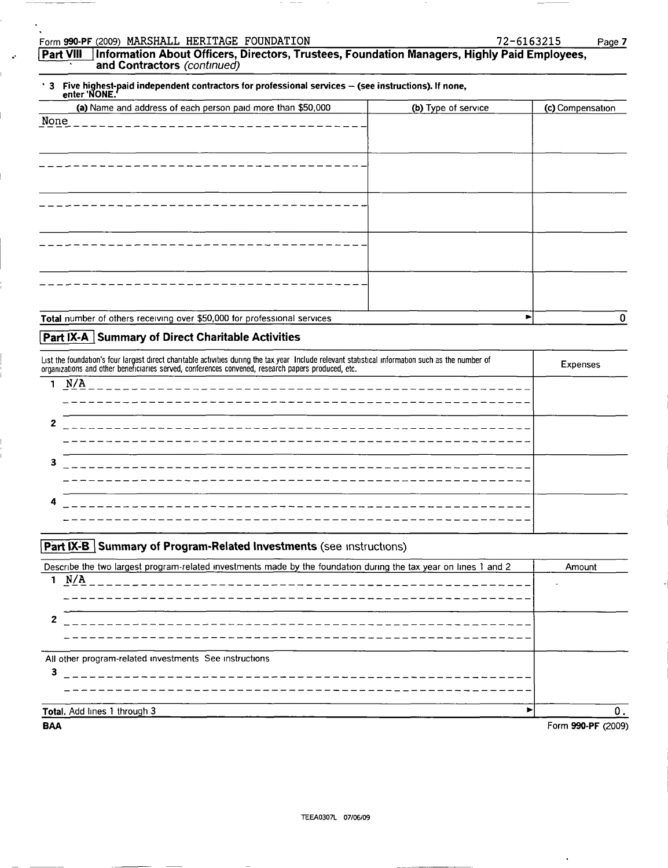| HERITAGE<br>Form 990-PF (2009) MARSHALL.<br>FOUNDATION | <b></b><br>$2 - 6163215$ | $P$ age, |
|--------------------------------------------------------|--------------------------|----------|
|--------------------------------------------------------|--------------------------|----------|

Part <u>VIII \_</u> Information About Officers, Directors, Trustees, Foundation Managers, Highly Paid Employees, and Contractors (continued)

## 3 Five highest-paid independent contractors for professional services -- (see instructions). If none,<br>enter 'NONE.'

| (a) Name and address of each person paid more than \$50,000              | (b) Type of service | (c) Compensation |
|--------------------------------------------------------------------------|---------------------|------------------|
| None                                                                     |                     |                  |
|                                                                          |                     |                  |
|                                                                          |                     |                  |
|                                                                          |                     |                  |
|                                                                          |                     |                  |
|                                                                          |                     |                  |
|                                                                          |                     |                  |
|                                                                          |                     |                  |
|                                                                          |                     |                  |
|                                                                          |                     |                  |
|                                                                          |                     |                  |
|                                                                          |                     |                  |
|                                                                          |                     |                  |
|                                                                          |                     |                  |
|                                                                          |                     |                  |
| Total number of others receiving over \$50,000 for professional services |                     | ▶                |

## **Part IX-A Summary of Direct Charitable Activities**

| List the foundation's four largest direct charitable activities during the tax year Include relevant statistical information such as the number of<br>organizations and other beneficiaries served, conferences convened, research papers produced, etc. |                                                                                                                        |  |  |  |
|----------------------------------------------------------------------------------------------------------------------------------------------------------------------------------------------------------------------------------------------------------|------------------------------------------------------------------------------------------------------------------------|--|--|--|
|                                                                                                                                                                                                                                                          | N/A                                                                                                                    |  |  |  |
|                                                                                                                                                                                                                                                          | _____________________________________                                                                                  |  |  |  |
|                                                                                                                                                                                                                                                          | __________________________________<br>_______________________                                                          |  |  |  |
| 3                                                                                                                                                                                                                                                        |                                                                                                                        |  |  |  |
| 4                                                                                                                                                                                                                                                        | <u> 1990 - Alexandr Alexandr Alexandr Alexandr Alexandr Alexandr Alexandr Alexandr Alexandr Alexandr Alexandr Alex</u> |  |  |  |
|                                                                                                                                                                                                                                                          |                                                                                                                        |  |  |  |

### **Part IX-B** Summary of Program-Related Investments (see instructions)

| Describe the two largest program-related investments made by the foundation during the tax year on lines 1 and 2 | Amount             |
|------------------------------------------------------------------------------------------------------------------|--------------------|
| 1 N/A                                                                                                            |                    |
| ----------------                                                                                                 |                    |
|                                                                                                                  |                    |
| ________________________                                                                                         |                    |
| ----------------                                                                                                 |                    |
| All other program-related investments See instructions                                                           |                    |
| 3<br>_____________________________                                                                               |                    |
|                                                                                                                  |                    |
|                                                                                                                  |                    |
| Total. Add lines 1 through 3                                                                                     | 0.                 |
| <b>BAA</b>                                                                                                       | Form 990-PF (2009) |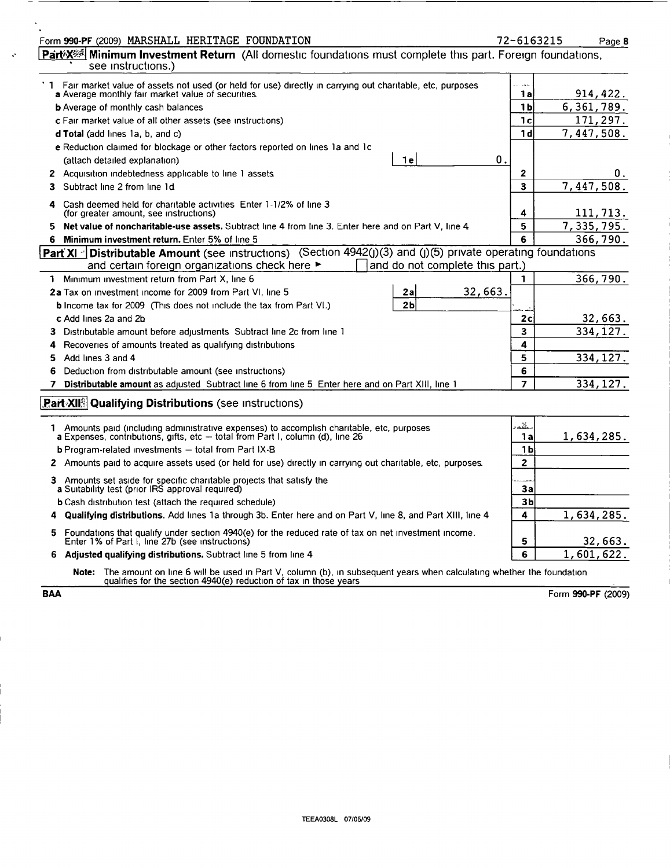| Form 990-PF (2009) MARSHALL HERITAGE FOUNDATION                                                                                                                                                                | 72-6163215              | Page 8     |
|----------------------------------------------------------------------------------------------------------------------------------------------------------------------------------------------------------------|-------------------------|------------|
| Part X <sup>25</sup> Minimum Investment Return (All domestic foundations must complete this part. Foreign foundations,<br>see instructions.)                                                                   |                         |            |
| 1 Fair market value of assets not used (or held for use) directly in carrying out charitable, etc, purposes<br>a Average monthly fair market value of securities.                                              | لدمدات<br>1a            | 914, 422.  |
| <b>b</b> Average of monthly cash balances                                                                                                                                                                      | 1 <sub>b</sub>          | 6,361,789. |
| <b>c</b> Fair market value of all other assets (see instructions)                                                                                                                                              | 1c                      | 171,297.   |
| <b>d Total</b> (add lines 1a, b, and c)                                                                                                                                                                        | 1 <sub>d</sub>          | 7,447,508. |
| e Reduction claimed for blockage or other factors reported on lines 1a and 1c                                                                                                                                  |                         |            |
| 0.<br>1 e<br>(attach detailed explanation)                                                                                                                                                                     |                         |            |
| 2 Acquisition indebtedness applicable to line 1 assets                                                                                                                                                         | 2                       | U.         |
| Subtract line 2 from line 1d                                                                                                                                                                                   | 3                       | 7,447,508. |
| Cash deemed held for charitable activities Enter 1-1/2% of line 3<br>4<br>(for greater amount, see instructions)                                                                                               | 4                       | 111, 713.  |
| Net value of noncharitable-use assets. Subtract line 4 from line 3. Enter here and on Part V, line 4<br>5.                                                                                                     | 5                       | 7,335,795. |
| 6 Minimum investment return. Enter 5% of line 5                                                                                                                                                                | 6                       | 366,790.   |
| Part XI <sup>-</sup> Distributable Amount (see instructions) (Section 4942(j)(3) and (j)(5) private operating foundations<br>and certain foreign organizations check here ►<br>and do not complete this part.) |                         |            |
| 1 Minimum investment return from Part X, line 6                                                                                                                                                                | 1                       | 366,790.   |
| 32,663.<br>2a Tax on investment income for 2009 from Part VI, line 5<br>2a                                                                                                                                     |                         |            |
| 2 <sub>b</sub><br><b>b</b> Income tax for 2009 (This does not include the tax from Part VI.)                                                                                                                   |                         |            |
| c Add lines 2a and 2b                                                                                                                                                                                          | 2c                      | 32,663.    |
| Distributable amount before adjustments Subtract line 2c from line 1<br>3.                                                                                                                                     | $\overline{\mathbf{3}}$ | 334, 127.  |
| Recoveries of amounts treated as qualifying distributions<br>4                                                                                                                                                 | 4                       |            |
| Add lines 3 and 4<br>5                                                                                                                                                                                         | 5                       | 334, 127.  |
| 6<br>Deduction from distributable amount (see instructions)                                                                                                                                                    | 6                       |            |
| Distributable amount as adjusted Subtract line 6 from line 5 Enter here and on Part XIII, line 1<br>7                                                                                                          | $\overline{7}$          | 334, 127.  |
| <b>Part XII</b> Qualifying Distributions (see instructions)                                                                                                                                                    |                         |            |
| 1 Amounts paid (including administrative expenses) to accomplish charitable, etc, purposes                                                                                                                     | alka.                   |            |
| <b>a</b> Expenses, contributions, gifts, etc $-$ total from Part I, column (d), line 26                                                                                                                        | 1a                      | 1,634,285. |
| <b>b</b> Program-related investments $-$ total from Part IX-B                                                                                                                                                  | 1 <sub>b</sub>          |            |
| 2 Amounts paid to acquire assets used (or held for use) directly in carrying out charitable, etc, purposes.                                                                                                    | $\mathbf{2}$            |            |
| 3 Amounts set aside for specific charitable projects that satisfy the a Suitability test (prior IRS approval required)                                                                                         | 3a                      |            |
| <b>b</b> Cash distribution test (attach the required schedule)                                                                                                                                                 | 3b                      |            |
| <b>Qualifying distributions.</b> Add lines 1a through 3b. Enter here and on Part V, line 8, and Part XIII, line 4                                                                                              | 4                       | 1,634,285. |
| Foundations that qualify under section 4940(e) for the reduced rate of tax on net investment income.<br>5.<br>Enter 1% of Part I, line 27b (see instructions)                                                  | 5                       | 32,663.    |
| 6 Adjusted qualifying distributions. Subtract line 5 from line 4                                                                                                                                               | 6                       | 1,601,622. |
| Note: The amount on line 6 will be used in Part V, column (b), in subsequent years when calculating whether the foundation qualifies for the section 4940(e) reduction of tax in those years                   |                         |            |

 $\hat{\mathcal{A}}$ 

 $\mathcal{L}$ 

BAA Form 990-PF (2009)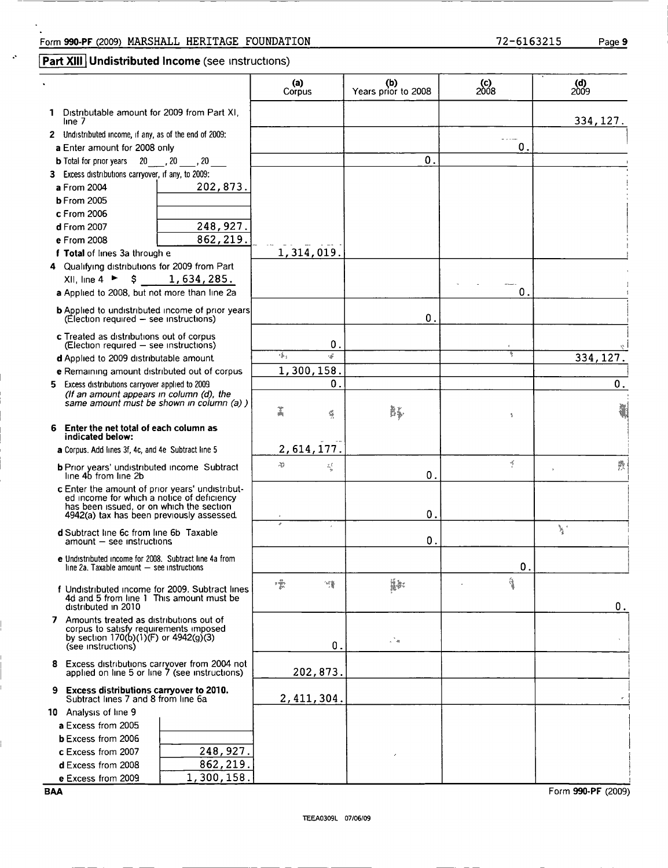### Form 990-PF (2009) MARSHALL HERITAGE FOUNDATION 72-6163215 Page 9

## **Part XIII** Undistributed Income (see instructions)

|                                                                                                   | (a)<br>Corpus                                                                                                                                                                                                                                                                                                                                                                                                                                                                  | (b)<br>Years prior to 2008 | $^{(c)}_{2008}$    | (d)<br>2009 |
|---------------------------------------------------------------------------------------------------|--------------------------------------------------------------------------------------------------------------------------------------------------------------------------------------------------------------------------------------------------------------------------------------------------------------------------------------------------------------------------------------------------------------------------------------------------------------------------------|----------------------------|--------------------|-------------|
| 1 Distributable amount for 2009 from Part XI,<br>line 7                                           |                                                                                                                                                                                                                                                                                                                                                                                                                                                                                |                            |                    | 334, 127.   |
| 2 Undistributed income, if any, as of the end of 2009:                                            |                                                                                                                                                                                                                                                                                                                                                                                                                                                                                |                            |                    |             |
| a Enter amount for 2008 only                                                                      |                                                                                                                                                                                                                                                                                                                                                                                                                                                                                |                            | 0                  |             |
| 20, 20, 20<br><b>b</b> Total for prior years                                                      |                                                                                                                                                                                                                                                                                                                                                                                                                                                                                | 0.                         |                    |             |
| 3 Excess distributions carryover, if any, to 2009:                                                |                                                                                                                                                                                                                                                                                                                                                                                                                                                                                |                            |                    |             |
| 202,873.<br>a From 2004                                                                           |                                                                                                                                                                                                                                                                                                                                                                                                                                                                                |                            |                    |             |
| <b>b</b> From 2005                                                                                |                                                                                                                                                                                                                                                                                                                                                                                                                                                                                |                            |                    |             |
| c From 2006                                                                                       |                                                                                                                                                                                                                                                                                                                                                                                                                                                                                |                            |                    |             |
| 248, 927.<br>d From 2007                                                                          |                                                                                                                                                                                                                                                                                                                                                                                                                                                                                |                            |                    |             |
| 862, 219.<br>e From 2008                                                                          |                                                                                                                                                                                                                                                                                                                                                                                                                                                                                |                            |                    |             |
| f Total of lines 3a through e                                                                     | 1,314,019.                                                                                                                                                                                                                                                                                                                                                                                                                                                                     |                            |                    |             |
| 4 Qualifying distributions for 2009 from Part                                                     |                                                                                                                                                                                                                                                                                                                                                                                                                                                                                |                            |                    |             |
| $XII$ , line 4 ► \$<br>1,634,285.                                                                 |                                                                                                                                                                                                                                                                                                                                                                                                                                                                                |                            |                    |             |
| a Applied to 2008, but not more than line 2a                                                      |                                                                                                                                                                                                                                                                                                                                                                                                                                                                                |                            | 0.                 |             |
|                                                                                                   |                                                                                                                                                                                                                                                                                                                                                                                                                                                                                |                            |                    |             |
| <b>b</b> Applied to undistributed income of prior years<br>(Election required - see instructions) |                                                                                                                                                                                                                                                                                                                                                                                                                                                                                | $\mathbf 0$ .              |                    |             |
|                                                                                                   |                                                                                                                                                                                                                                                                                                                                                                                                                                                                                |                            |                    |             |
| c Treated as distributions out of corpus<br>(Election required - see instructions)                | 0.                                                                                                                                                                                                                                                                                                                                                                                                                                                                             |                            |                    |             |
| d Applied to 2009 distributable amount                                                            | r fi<br>, ≴•                                                                                                                                                                                                                                                                                                                                                                                                                                                                   |                            |                    | 334, 127.   |
| e Remaining amount distributed out of corpus                                                      | 1,300,158.                                                                                                                                                                                                                                                                                                                                                                                                                                                                     |                            |                    |             |
| 5 Excess distributions carryover applied to 2009.                                                 | 0.                                                                                                                                                                                                                                                                                                                                                                                                                                                                             |                            |                    | 0.          |
| (If an amount appears in column (d), the                                                          |                                                                                                                                                                                                                                                                                                                                                                                                                                                                                |                            |                    |             |
| same amount must be shown in column (a) )                                                         | ž<br>G                                                                                                                                                                                                                                                                                                                                                                                                                                                                         | à.                         |                    | ł           |
| 6 Enter the net total of each column as                                                           |                                                                                                                                                                                                                                                                                                                                                                                                                                                                                |                            | $\hat{\mathbf{x}}$ |             |
| indicated below:                                                                                  |                                                                                                                                                                                                                                                                                                                                                                                                                                                                                |                            |                    |             |
| a Corpus. Add lines 3f, 4c, and 4e Subtract line 5                                                | 2,614,177.                                                                                                                                                                                                                                                                                                                                                                                                                                                                     |                            |                    |             |
|                                                                                                   | Ą,<br>琴                                                                                                                                                                                                                                                                                                                                                                                                                                                                        |                            | Ķ                  | 爨           |
| <b>b</b> Prior years' undistributed income Subtract<br>line 4b from line 2b                       |                                                                                                                                                                                                                                                                                                                                                                                                                                                                                | 0.                         |                    |             |
| c Enter the amount of prior years' undistribut-                                                   |                                                                                                                                                                                                                                                                                                                                                                                                                                                                                |                            |                    |             |
| ed income for which a notice of deficiency<br>has been issued, or on which the section            |                                                                                                                                                                                                                                                                                                                                                                                                                                                                                |                            |                    |             |
| 4942(a) tax has been previously assessed.                                                         |                                                                                                                                                                                                                                                                                                                                                                                                                                                                                | 0.                         |                    |             |
| d Subtract line 6c from line 6b Taxable                                                           |                                                                                                                                                                                                                                                                                                                                                                                                                                                                                |                            |                    | y.          |
| amount - see instructions                                                                         |                                                                                                                                                                                                                                                                                                                                                                                                                                                                                | $\mathbf 0$ .              |                    |             |
| e Undistributed income for 2008. Subtract line 4a from                                            |                                                                                                                                                                                                                                                                                                                                                                                                                                                                                |                            |                    |             |
| line $2a$ . Taxable amount $-$ see instructions                                                   |                                                                                                                                                                                                                                                                                                                                                                                                                                                                                |                            | $\mathbf{0}$ .     |             |
|                                                                                                   | $\begin{aligned} \n\mathbf{y} & \frac{\partial \mathbf{y}}{\partial \mathbf{y}} \mathbf{y} \cdot \nabla \mathbf{y} \cdot \nabla \mathbf{y} \cdot \nabla \mathbf{y} \cdot \nabla \mathbf{y} \cdot \nabla \mathbf{y} \cdot \nabla \mathbf{y} \cdot \nabla \mathbf{y} \cdot \nabla \mathbf{y} \cdot \nabla \mathbf{y} \cdot \nabla \mathbf{y} \cdot \nabla \mathbf{y} \cdot \nabla \mathbf{y} \cdot \nabla \mathbf{y} \cdot \nabla \mathbf{y} \cdot \nabla \mathbf{y} \cdot$<br>× | ÿ.                         | î                  |             |
| f Undistributed income for 2009. Subtract lines<br>4d and 5 from line 1 This amount must be       |                                                                                                                                                                                                                                                                                                                                                                                                                                                                                |                            |                    |             |
| distributed in 2010                                                                               |                                                                                                                                                                                                                                                                                                                                                                                                                                                                                |                            |                    | О.          |
| <b>7</b> Amounts treated as distributions out of                                                  |                                                                                                                                                                                                                                                                                                                                                                                                                                                                                |                            |                    |             |
| corpus to satisfy requirements imposed<br>by section $170(b)(1)(F)$ or $4942(g)(3)$               |                                                                                                                                                                                                                                                                                                                                                                                                                                                                                | $\mathbb{Z}^2$             |                    |             |
| (see instructions)                                                                                | 0.                                                                                                                                                                                                                                                                                                                                                                                                                                                                             |                            |                    |             |
| 8 Excess distributions carryover from 2004 not                                                    |                                                                                                                                                                                                                                                                                                                                                                                                                                                                                |                            |                    |             |
| applied on line 5 or line 7 (see instructions)                                                    | 202,873.                                                                                                                                                                                                                                                                                                                                                                                                                                                                       |                            |                    |             |
| 9 Excess distributions carryover to 2010.<br>Subtract lines 7 and 8 from line 6a.                 | 2, 411, 304.                                                                                                                                                                                                                                                                                                                                                                                                                                                                   |                            |                    |             |
| 10 Analysis of line 9                                                                             |                                                                                                                                                                                                                                                                                                                                                                                                                                                                                |                            |                    |             |
| a Excess from 2005                                                                                |                                                                                                                                                                                                                                                                                                                                                                                                                                                                                |                            |                    |             |
| <b>b</b> Excess from 2006                                                                         |                                                                                                                                                                                                                                                                                                                                                                                                                                                                                |                            |                    |             |
| 248,927.<br>c Excess from 2007                                                                    |                                                                                                                                                                                                                                                                                                                                                                                                                                                                                |                            |                    |             |
| 862,219.<br><b>d</b> Excess from 2008                                                             |                                                                                                                                                                                                                                                                                                                                                                                                                                                                                |                            |                    |             |
| 1,300,158.<br>e Excess from 2009                                                                  |                                                                                                                                                                                                                                                                                                                                                                                                                                                                                |                            |                    |             |
|                                                                                                   |                                                                                                                                                                                                                                                                                                                                                                                                                                                                                |                            |                    |             |

BAA Form 990-PF (2009)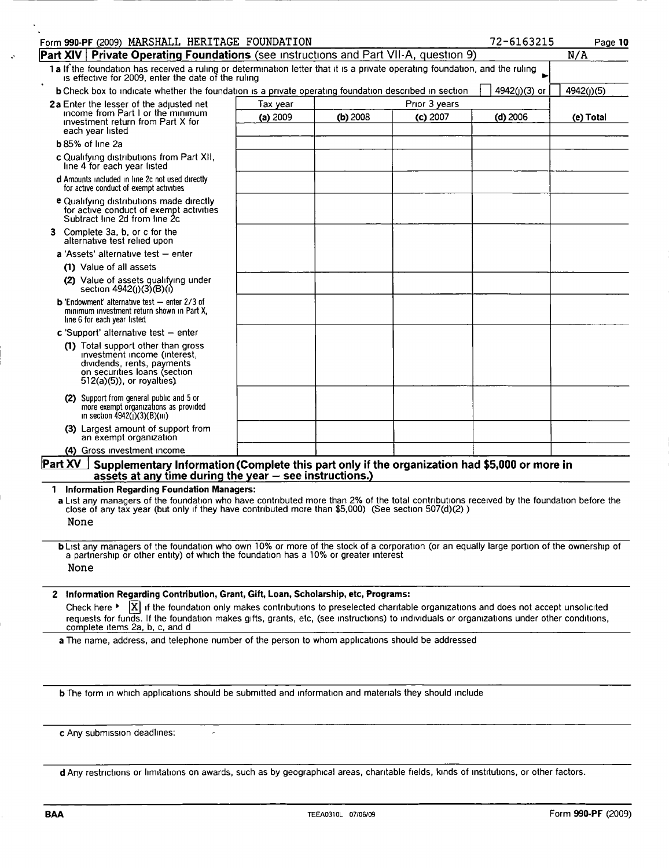| Form 990-PF (2009) MARSHALL HERITAGE FOUNDATION                                                                                                                                                                                                                                                                          |          |            |               | 72-6163215      | Page 10    |
|--------------------------------------------------------------------------------------------------------------------------------------------------------------------------------------------------------------------------------------------------------------------------------------------------------------------------|----------|------------|---------------|-----------------|------------|
| <b>Part XIV Private Operating Foundations</b> (see instructions and Part VII-A, question 9)                                                                                                                                                                                                                              |          |            |               |                 | N/A        |
| 1a If the foundation has received a ruling or determination letter that it is a private operating foundation, and the ruling<br>is effective for 2009, enter the date of the ruling                                                                                                                                      |          |            |               |                 |            |
| <b>b</b> Check box to indicate whether the foundation is a private operating foundation described in section                                                                                                                                                                                                             |          |            |               | $4942(j)(3)$ or | 4942(j)(5) |
| 2a Enter the lesser of the adjusted net                                                                                                                                                                                                                                                                                  | Tax year |            | Prior 3 years |                 |            |
| income from Part I or the minimum<br>investment return from Part X for<br>each year listed                                                                                                                                                                                                                               | (a) 2009 | $(b)$ 2008 | $(c)$ 2007    | $(d)$ 2006      | (e) Total  |
| <b>b</b> 85% of line 2a                                                                                                                                                                                                                                                                                                  |          |            |               |                 |            |
| c Qualifying distributions from Part XII,<br>line 4 for each year listed                                                                                                                                                                                                                                                 |          |            |               |                 |            |
| d Amounts included in line 2c not used directly<br>for active conduct of exempt activities                                                                                                                                                                                                                               |          |            |               |                 |            |
| e Qualifying distributions made directly<br>for active conduct of exempt activities<br>Subtract line 2d from line 2c                                                                                                                                                                                                     |          |            |               |                 |            |
| Complete 3a, b, or c for the<br>З.<br>alternative test relied upon                                                                                                                                                                                                                                                       |          |            |               |                 |            |
| $a$ 'Assets' alternative test $-$ enter                                                                                                                                                                                                                                                                                  |          |            |               |                 |            |
| (1) Value of all assets                                                                                                                                                                                                                                                                                                  |          |            |               |                 |            |
| (2) Value of assets qualifying under<br>section 4942(j)(3)(B)(i)                                                                                                                                                                                                                                                         |          |            |               |                 |            |
| <b>b</b> 'Endowment' alternative test $-$ enter 2/3 of<br>minimum investment return shown in Part X,<br>line 6 for each year listed.                                                                                                                                                                                     |          |            |               |                 |            |
| c 'Support' alternative test $-$ enter                                                                                                                                                                                                                                                                                   |          |            |               |                 |            |
| (1) Total support other than gross<br>investment income (interest,<br>dividends, rents, payments<br>on securities loans (section<br>$512(a)(5)$ , or royalties).                                                                                                                                                         |          |            |               |                 |            |
| (2) Support from general public and 5 or<br>more exempt organizations as provided<br>in section $4942(j)(3)(B)(iii)$                                                                                                                                                                                                     |          |            |               |                 |            |
| (3) Largest amount of support from<br>an exempt organization                                                                                                                                                                                                                                                             |          |            |               |                 |            |
| (4) Gross investment income.                                                                                                                                                                                                                                                                                             |          |            |               |                 |            |
| Part XV<br>Supplementary Information (Complete this part only if the organization had \$5,000 or more in<br>assets at any time during the year $-$ see instructions.)                                                                                                                                                    |          |            |               |                 |            |
| <b>Information Regarding Foundation Managers:</b>                                                                                                                                                                                                                                                                        |          |            |               |                 |            |
| a List any managers of the foundation who have contributed more than 2% of the total contributions received by the foundation before the<br>close of any tax year (but only if they have contributed more than \$5,000) (See section 507(d)(2))<br>None                                                                  |          |            |               |                 |            |
|                                                                                                                                                                                                                                                                                                                          |          |            |               |                 |            |
| <b>b</b> List any managers of the foundation who own 10% or more of the stock of a corporation (or an equally large portion of the ownership of<br>a partnership or other entity) of which the foundation has a 10% or greater interest<br>None                                                                          |          |            |               |                 |            |
| 2 Information Regarding Contribution, Grant, Gift, Loan, Scholarship, etc, Programs:                                                                                                                                                                                                                                     |          |            |               |                 |            |
| $ X $ if the foundation only makes contributions to preselected charitable organizations and does not accept unsolicited<br>Check here ▶<br>requests for funds. If the foundation makes gifts, grants, etc, (see instructions) to individuals or organizations under other conditions,<br>complete items 2a, b, c, and d |          |            |               |                 |            |
| a The name, address, and telephone number of the person to whom applications should be addressed                                                                                                                                                                                                                         |          |            |               |                 |            |
|                                                                                                                                                                                                                                                                                                                          |          |            |               |                 |            |

b The form in which applications should be submitted and information and materials they should include

 $\overline{\phantom{a}}$ 

c Any submission deadlines:

d Any restrictions or limitations on awards, such as by geographical areas, charitable fields, kinds of institutions, or other factors.

 $\ddot{\phantom{a}}$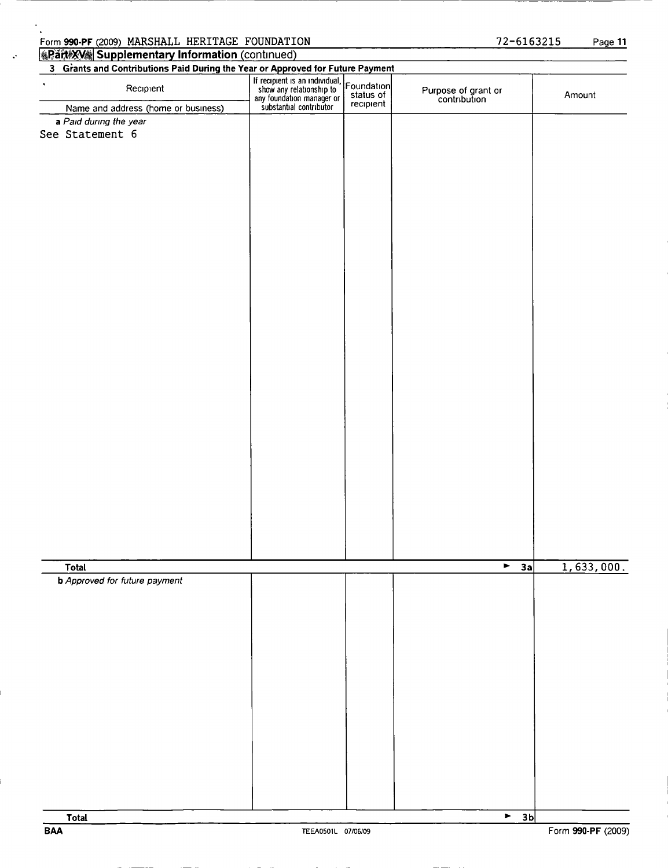| Recipient                                            |                                                                                                                    |                                      |                                     |            |
|------------------------------------------------------|--------------------------------------------------------------------------------------------------------------------|--------------------------------------|-------------------------------------|------------|
| Name and address (home or business)                  | If recipient is an individual,<br>show any relationship to<br>any foundation manager or<br>substantial contributor | Foundation<br>status of<br>recipient | Purpose of grant or<br>contribution | Amount     |
| a Paid during the year                               |                                                                                                                    |                                      |                                     |            |
| See Statement 6                                      |                                                                                                                    |                                      |                                     |            |
|                                                      |                                                                                                                    |                                      |                                     |            |
|                                                      |                                                                                                                    |                                      |                                     |            |
|                                                      |                                                                                                                    |                                      |                                     |            |
|                                                      |                                                                                                                    |                                      |                                     |            |
|                                                      |                                                                                                                    |                                      |                                     |            |
|                                                      |                                                                                                                    |                                      |                                     |            |
|                                                      |                                                                                                                    |                                      |                                     |            |
|                                                      |                                                                                                                    |                                      |                                     |            |
|                                                      |                                                                                                                    |                                      |                                     |            |
|                                                      |                                                                                                                    |                                      |                                     |            |
|                                                      |                                                                                                                    |                                      |                                     |            |
|                                                      |                                                                                                                    |                                      |                                     |            |
|                                                      |                                                                                                                    |                                      |                                     |            |
|                                                      |                                                                                                                    |                                      |                                     |            |
|                                                      |                                                                                                                    |                                      |                                     |            |
|                                                      |                                                                                                                    |                                      |                                     |            |
|                                                      |                                                                                                                    |                                      |                                     |            |
|                                                      |                                                                                                                    |                                      |                                     |            |
|                                                      |                                                                                                                    |                                      |                                     |            |
|                                                      |                                                                                                                    |                                      |                                     |            |
|                                                      |                                                                                                                    |                                      |                                     |            |
|                                                      |                                                                                                                    |                                      |                                     |            |
|                                                      |                                                                                                                    |                                      |                                     |            |
|                                                      |                                                                                                                    |                                      |                                     |            |
|                                                      |                                                                                                                    |                                      |                                     |            |
|                                                      |                                                                                                                    |                                      | $\blacktriangledown$                |            |
| <b>Total</b><br><b>b</b> Approved for future payment |                                                                                                                    |                                      | 3a                                  | 1,633,000. |
|                                                      |                                                                                                                    |                                      |                                     |            |
|                                                      |                                                                                                                    |                                      |                                     |            |
|                                                      |                                                                                                                    |                                      |                                     |            |
|                                                      |                                                                                                                    |                                      |                                     |            |
|                                                      |                                                                                                                    |                                      |                                     |            |
|                                                      |                                                                                                                    |                                      |                                     |            |
|                                                      |                                                                                                                    |                                      |                                     |            |
|                                                      |                                                                                                                    |                                      |                                     |            |
|                                                      |                                                                                                                    |                                      |                                     |            |
|                                                      |                                                                                                                    |                                      |                                     |            |
|                                                      |                                                                                                                    |                                      |                                     |            |
|                                                      |                                                                                                                    |                                      |                                     |            |
|                                                      |                                                                                                                    |                                      |                                     |            |
|                                                      |                                                                                                                    |                                      |                                     |            |

## **Rant XV Supplementary Information (continued)**

 $\begin{bmatrix} 1 & 3 & 5 \end{bmatrix}$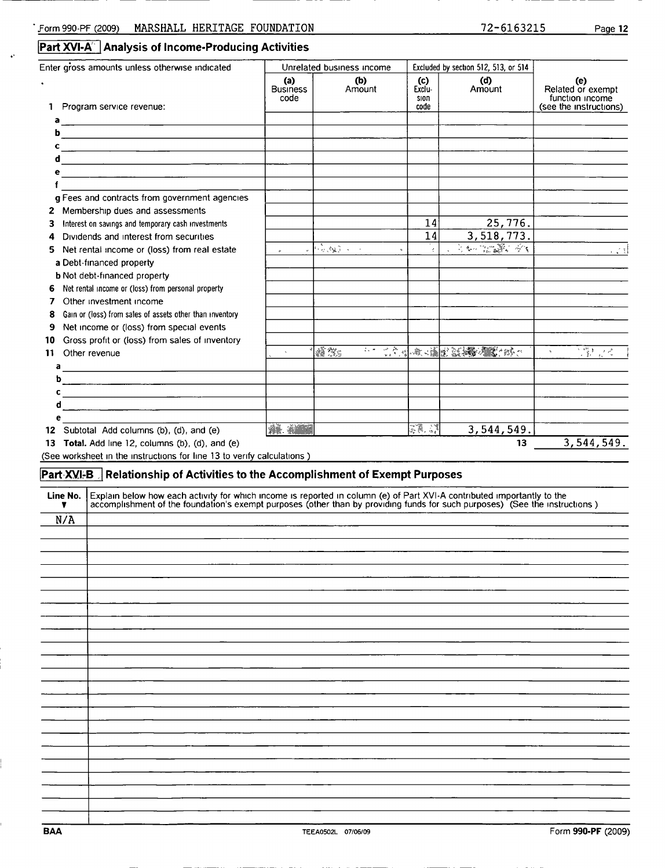.

|  |  | Part XVI-A Analysis of Income-Producing Activities |  |
|--|--|----------------------------------------------------|--|
|--|--|----------------------------------------------------|--|

|               | Enter gross amounts unless otherwise indicated                                                                                                                                                                                    | Unrelated business income      |                                                                                                                                   | Excluded by section 512, 513, or 514 |                                                                                                                       |                                                                       |
|---------------|-----------------------------------------------------------------------------------------------------------------------------------------------------------------------------------------------------------------------------------|--------------------------------|-----------------------------------------------------------------------------------------------------------------------------------|--------------------------------------|-----------------------------------------------------------------------------------------------------------------------|-----------------------------------------------------------------------|
|               | 1 Program service revenue:                                                                                                                                                                                                        | (a)<br><b>Business</b><br>code | (b)<br>Amount                                                                                                                     | (c)<br>Exclu-<br>SION<br>code        | (d)<br>Amount                                                                                                         | (e)<br>Related or exempt<br>function income<br>(see the instructions) |
| a             |                                                                                                                                                                                                                                   |                                |                                                                                                                                   |                                      |                                                                                                                       |                                                                       |
| b             | <u> 1989 - Johann Stoff, deutscher Stoffen und der Stoffen und der Stoffen und der Stoffen und der Stoffen und der</u>                                                                                                            |                                |                                                                                                                                   |                                      |                                                                                                                       |                                                                       |
| c             |                                                                                                                                                                                                                                   |                                |                                                                                                                                   |                                      |                                                                                                                       |                                                                       |
| d             | <u> 1989 - Johann Stein, mars an deus Frankryk († 1958)</u>                                                                                                                                                                       |                                |                                                                                                                                   |                                      |                                                                                                                       |                                                                       |
| e             |                                                                                                                                                                                                                                   |                                |                                                                                                                                   |                                      |                                                                                                                       |                                                                       |
| f             | g Fees and contracts from government agencies                                                                                                                                                                                     |                                |                                                                                                                                   |                                      |                                                                                                                       |                                                                       |
|               |                                                                                                                                                                                                                                   |                                |                                                                                                                                   |                                      |                                                                                                                       |                                                                       |
| з             | 2 Membership dues and assessments<br>Interest on savings and temporary cash investments                                                                                                                                           |                                |                                                                                                                                   | 14                                   | 25,776.                                                                                                               |                                                                       |
| 4             | Dividends and interest from securities                                                                                                                                                                                            |                                |                                                                                                                                   | 14                                   | 3,518,773.                                                                                                            |                                                                       |
| 5             | Net rental income or (loss) from real estate                                                                                                                                                                                      | $\omega$                       | $\sqrt{4\frac{1}{2} \frac{1}{2} \frac{1}{2} \frac{1}{2} \frac{1}{2} \frac{1}{2} \frac{1}{2} \frac{1}{2} \frac{1}{2} \frac{1}{2}}$ | $\frac{1}{4}$                        | 3. 多元 法人 医大门                                                                                                          | 言語                                                                    |
|               | a Debt-financed property                                                                                                                                                                                                          |                                |                                                                                                                                   |                                      |                                                                                                                       |                                                                       |
|               | <b>b</b> Not debt-financed property                                                                                                                                                                                               |                                |                                                                                                                                   |                                      |                                                                                                                       |                                                                       |
| 6             | Net rental income or (loss) from personal property                                                                                                                                                                                |                                |                                                                                                                                   |                                      |                                                                                                                       |                                                                       |
| 7             | Other investment income                                                                                                                                                                                                           |                                |                                                                                                                                   |                                      |                                                                                                                       |                                                                       |
| 8             | Gain or (loss) from sales of assets other than inventory                                                                                                                                                                          |                                |                                                                                                                                   |                                      |                                                                                                                       |                                                                       |
| 9             | Net income or (loss) from special events                                                                                                                                                                                          |                                |                                                                                                                                   |                                      |                                                                                                                       |                                                                       |
| 10            | Gross profit or (loss) from sales of inventory                                                                                                                                                                                    |                                |                                                                                                                                   |                                      |                                                                                                                       |                                                                       |
| 11            | Other revenue                                                                                                                                                                                                                     |                                | <b>A</b>                                                                                                                          |                                      | <b>1000 12:40 12:40 12:40 12:40 12:40 12:40 12:40 12:40 12:40 12:40 12:40 12:40 12:40 12:40 12:40 12:40 12:40 12:</b> | 等にく<br>$\mathcal{H}$                                                  |
| а             | <u> 1989 - Johann Stein, mars ann an t-Amhain an t-Amhain an t-Amhain an t-Amhain an t-Amhain an t-Amhain an t-A</u>                                                                                                              |                                |                                                                                                                                   |                                      |                                                                                                                       |                                                                       |
| b             |                                                                                                                                                                                                                                   |                                |                                                                                                                                   |                                      |                                                                                                                       |                                                                       |
| c             |                                                                                                                                                                                                                                   |                                |                                                                                                                                   |                                      |                                                                                                                       |                                                                       |
| d             |                                                                                                                                                                                                                                   |                                |                                                                                                                                   |                                      |                                                                                                                       |                                                                       |
| e             |                                                                                                                                                                                                                                   |                                |                                                                                                                                   |                                      |                                                                                                                       |                                                                       |
|               |                                                                                                                                                                                                                                   |                                |                                                                                                                                   |                                      |                                                                                                                       |                                                                       |
|               | 12 Subtotal Add columns (b), (d), and (e)                                                                                                                                                                                         | <b>AL ANDER</b>                |                                                                                                                                   | 38.4                                 | 3,544,549.                                                                                                            |                                                                       |
|               | 13 Total. Add line 12, columns (b), (d), and (e)                                                                                                                                                                                  |                                |                                                                                                                                   |                                      | 13                                                                                                                    | 3,544,549.                                                            |
|               | (See worksheet in the instructions for line 13 to verify calculations )                                                                                                                                                           |                                |                                                                                                                                   |                                      |                                                                                                                       |                                                                       |
|               | Part XVI-B Relationship of Activities to the Accomplishment of Exempt Purposes                                                                                                                                                    |                                |                                                                                                                                   |                                      |                                                                                                                       |                                                                       |
|               |                                                                                                                                                                                                                                   |                                |                                                                                                                                   |                                      |                                                                                                                       |                                                                       |
| Line No.<br>▼ | Explain below how each activity for which income is reported in column (e) of Part XVI-A contributed importantly to the<br>accomplishment of the foundation's exempt purposes (other than by providing funds for such purposes) ( |                                |                                                                                                                                   |                                      |                                                                                                                       |                                                                       |
|               |                                                                                                                                                                                                                                   |                                |                                                                                                                                   |                                      |                                                                                                                       |                                                                       |
| N/A           |                                                                                                                                                                                                                                   |                                |                                                                                                                                   |                                      |                                                                                                                       |                                                                       |
|               |                                                                                                                                                                                                                                   |                                |                                                                                                                                   |                                      |                                                                                                                       |                                                                       |
|               |                                                                                                                                                                                                                                   |                                |                                                                                                                                   |                                      |                                                                                                                       |                                                                       |
|               |                                                                                                                                                                                                                                   |                                |                                                                                                                                   |                                      |                                                                                                                       |                                                                       |
|               |                                                                                                                                                                                                                                   |                                |                                                                                                                                   |                                      |                                                                                                                       |                                                                       |
|               |                                                                                                                                                                                                                                   |                                |                                                                                                                                   |                                      |                                                                                                                       |                                                                       |
|               |                                                                                                                                                                                                                                   |                                |                                                                                                                                   |                                      |                                                                                                                       |                                                                       |
|               |                                                                                                                                                                                                                                   |                                |                                                                                                                                   |                                      |                                                                                                                       |                                                                       |
|               |                                                                                                                                                                                                                                   |                                |                                                                                                                                   |                                      |                                                                                                                       |                                                                       |
|               |                                                                                                                                                                                                                                   |                                |                                                                                                                                   |                                      |                                                                                                                       |                                                                       |
|               |                                                                                                                                                                                                                                   |                                |                                                                                                                                   |                                      |                                                                                                                       |                                                                       |
|               |                                                                                                                                                                                                                                   |                                |                                                                                                                                   |                                      |                                                                                                                       |                                                                       |
|               |                                                                                                                                                                                                                                   |                                |                                                                                                                                   |                                      |                                                                                                                       |                                                                       |
|               |                                                                                                                                                                                                                                   |                                |                                                                                                                                   |                                      |                                                                                                                       |                                                                       |
|               |                                                                                                                                                                                                                                   |                                |                                                                                                                                   |                                      |                                                                                                                       |                                                                       |
|               |                                                                                                                                                                                                                                   |                                |                                                                                                                                   |                                      |                                                                                                                       |                                                                       |
|               |                                                                                                                                                                                                                                   |                                |                                                                                                                                   |                                      |                                                                                                                       |                                                                       |
|               |                                                                                                                                                                                                                                   |                                |                                                                                                                                   |                                      |                                                                                                                       |                                                                       |
|               |                                                                                                                                                                                                                                   |                                |                                                                                                                                   |                                      |                                                                                                                       |                                                                       |
|               |                                                                                                                                                                                                                                   |                                |                                                                                                                                   |                                      |                                                                                                                       |                                                                       |
|               |                                                                                                                                                                                                                                   |                                |                                                                                                                                   |                                      |                                                                                                                       |                                                                       |

 $\mathbb{F}$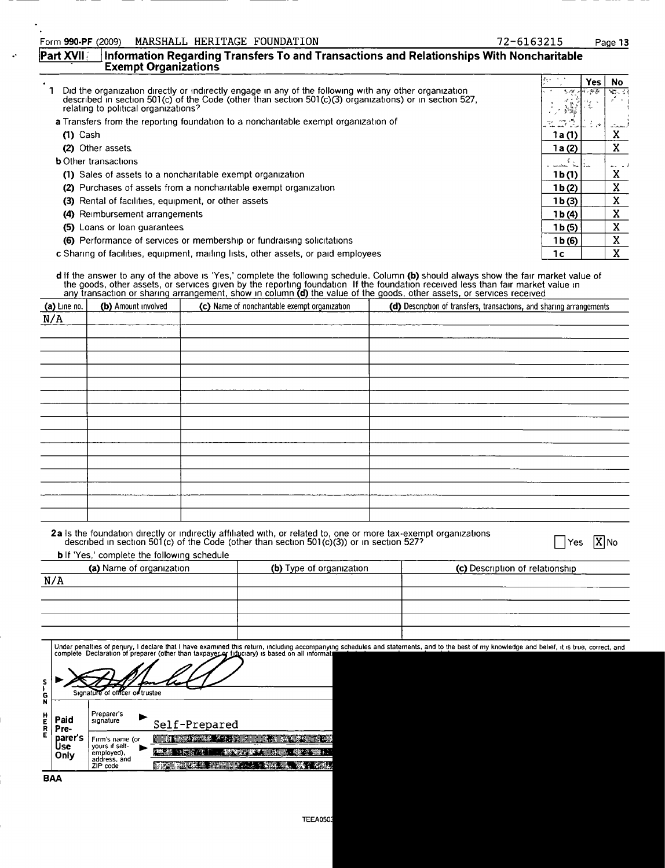| MARSHALL HERITAGE FOUNDATION<br>orm 990-PF (2009) |  |
|---------------------------------------------------|--|
|---------------------------------------------------|--|

| Form 990-PF (2009) |                             | MARSHALL HERITAGE FOUNDATION | 72-6163215                                                                                                  | Page 13 |
|--------------------|-----------------------------|------------------------------|-------------------------------------------------------------------------------------------------------------|---------|
|                    | <b>Exempt Organizations</b> |                              | <b>Part XVII</b> : Information Regarding Transfers To and Transactions and Relationships With Noncharitable |         |

|                                                                                                                                                                                                                                                           | $8 - 1$            | Yes.  | No.    |
|-----------------------------------------------------------------------------------------------------------------------------------------------------------------------------------------------------------------------------------------------------------|--------------------|-------|--------|
| Did the organization directly or indirectly engage in any of the following with any other organization<br>described in section 501(c) of the Code (other than section 501(c)(3) organizations) or in section 527,<br>relating to political organizations? | 3.78<br>ふく あいしょう   | 17.祭费 | YOU SE |
| <b>a</b> Transfers from the reporting foundation to a noncharitable exempt organization of                                                                                                                                                                | ing s≫<br>me e     |       |        |
| $(1)$ Cash                                                                                                                                                                                                                                                | 1 a (1)            |       | A      |
| (2) Other assets                                                                                                                                                                                                                                          | 1a(2)              |       | X      |
| <b>b</b> Other transactions                                                                                                                                                                                                                               | المحلا المحمدين    |       |        |
| (1) Sales of assets to a noncharitable exempt organization                                                                                                                                                                                                | 1b(1)              |       | x      |
| (2) Purchases of assets from a noncharitable exempt organization                                                                                                                                                                                          | 1 <sub>b</sub> (2) |       | X      |
| (3) Rental of facilities, equipment, or other assets                                                                                                                                                                                                      | 1 <sub>b</sub> (3) |       | X      |
| (4) Reimbursement arrangements                                                                                                                                                                                                                            | 1 b (4)            |       | x      |
| (5) Loans or loan quarantees                                                                                                                                                                                                                              | 1 <sub>b</sub> (5) |       | X      |
| (6) Performance of services or membership or fundraising solicitations                                                                                                                                                                                    | 1 b(6)             |       | X      |
| c Sharing of facilities, equipment, mailing lists, other assets, or paid employees                                                                                                                                                                        | 1с                 |       | X      |

**d** If the answer to any of the above is 'Yes,' complete the following schedule. Column **(b)** should always show the fair market value of the goods, other assets, or services given by the reporting foundation. If the foundation received less than fair market value in<br>any transaction or sharing arrangement, show in column **(d)** the value of the goods, other a

| (a) Line no. | (b) Amount involved | (c) Name of noncharitable exempt organization | (d) Description of transfers, transactions, and sharing arrangements |
|--------------|---------------------|-----------------------------------------------|----------------------------------------------------------------------|
| N/A          |                     |                                               |                                                                      |
|              |                     |                                               |                                                                      |
|              |                     |                                               |                                                                      |
|              |                     |                                               |                                                                      |
|              |                     |                                               |                                                                      |
|              |                     |                                               |                                                                      |
|              |                     |                                               |                                                                      |
|              |                     |                                               |                                                                      |
|              |                     |                                               |                                                                      |
|              |                     |                                               |                                                                      |
|              |                     |                                               |                                                                      |
|              |                     |                                               |                                                                      |
|              |                     |                                               |                                                                      |
|              |                     |                                               |                                                                      |
|              |                     |                                               |                                                                      |
|              |                     |                                               |                                                                      |
|              |                     |                                               |                                                                      |

| 2a Is the foundation directly or indirectly affiliated with, or related to, one or more tax-exempt organizations described in section 501(c) of the Code (other than section 501(c)(3)) or in section 527? |                          | XINo<br>Yes                                                                                                                                                                                   |
|------------------------------------------------------------------------------------------------------------------------------------------------------------------------------------------------------------|--------------------------|-----------------------------------------------------------------------------------------------------------------------------------------------------------------------------------------------|
| <b>b</b> If 'Yes,' complete the following schedule                                                                                                                                                         |                          |                                                                                                                                                                                               |
| (a) Name of organization                                                                                                                                                                                   | (b) Type of organization | (c) Description of relationship                                                                                                                                                               |
| N/A                                                                                                                                                                                                        |                          |                                                                                                                                                                                               |
|                                                                                                                                                                                                            |                          |                                                                                                                                                                                               |
|                                                                                                                                                                                                            |                          |                                                                                                                                                                                               |
|                                                                                                                                                                                                            |                          |                                                                                                                                                                                               |
|                                                                                                                                                                                                            |                          |                                                                                                                                                                                               |
| complete Declaration of preparer (other than taxpayer or fiduciary) is based on all informat                                                                                                               |                          | Under penalties of perjury, I declare that I have examined this return, including accompanying schedules and statements, and to the best of my knowledge and belief, it is true, correct, and |

|                       |                                         | Signature of officer of trustee                                                                        |                                                                          |
|-----------------------|-----------------------------------------|--------------------------------------------------------------------------------------------------------|--------------------------------------------------------------------------|
| G<br>N<br>н<br>R<br>E | Paid<br>Pre-<br>parer's<br>Jse.<br>Only | Preparer's<br>signature<br>Firm's name (or<br>vours if self-<br>employed),<br>address, and<br>ZIP code | Self-Prepared<br><b>STATE OF STREET</b><br><b>MARK COMPANY COMMUNIST</b> |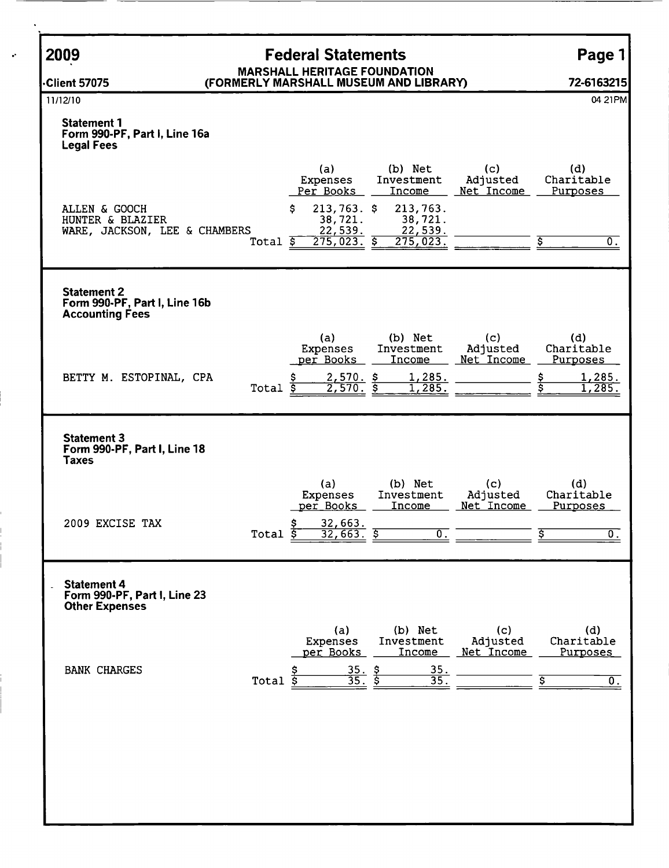| 2009                                                                          | <b>Federal Statements</b>                                                                                                                                                                                                             | Page 1                                                              |
|-------------------------------------------------------------------------------|---------------------------------------------------------------------------------------------------------------------------------------------------------------------------------------------------------------------------------------|---------------------------------------------------------------------|
| <b>Client 57075</b>                                                           | <b>MARSHALL HERITAGE FOUNDATION</b><br>(FORMERLY MARSHALL MUSEUM AND LIBRARY)                                                                                                                                                         | 72-6163215                                                          |
| 11/12/10                                                                      |                                                                                                                                                                                                                                       | 04 21 PM                                                            |
| <b>Statement 1</b><br>Form 990-PF, Part I, Line 16a<br><b>Legal Fees</b>      |                                                                                                                                                                                                                                       |                                                                     |
| ALLEN & GOOCH<br>HUNTER & BLAZIER<br>WARE, JACKSON, LEE & CHAMBERS            | (b) Net<br>(c)<br>(a)<br>Adjusted<br>Expenses<br>Investment<br>Per Books<br>Net Income<br>Income<br>$213,763.$ \$<br>213,763.<br>S.<br>38,721.<br>38,721.<br>22,539.<br>22,539.<br>$275,023.$ \$<br>275,023.<br>Total $\overline{\$}$ | (d)<br>Charitable<br>Purposes<br>σ.                                 |
| <b>Statement 2</b><br>Form 990-PF, Part I, Line 16b<br><b>Accounting Fees</b> |                                                                                                                                                                                                                                       |                                                                     |
| BETTY M. ESTOPINAL, CPA                                                       | (a)<br>(b) Net<br>(c)<br>Investment<br>Adjusted<br>Expenses<br>per Books<br>Income<br>Net Income<br>$2,570.$ \$<br><u>1,285.</u><br>\$<br>2,570.<br>Total $\overline{s}$<br>1,285.                                                    | (d)<br>Charitable<br>Purposes<br><u>1,285.</u><br>1,285.            |
| <b>Statement 3</b><br>Form 990-PF, Part I, Line 18<br><b>Taxes</b>            |                                                                                                                                                                                                                                       |                                                                     |
| 2009 EXCISE TAX                                                               | (b) Net<br>(c)<br>(a)<br>Investment<br>Adjusted<br>Expenses<br>per Books<br>Net Income<br>Income<br>32,663.<br>$\overline{32,663}$ .<br>$\overline{\mathfrak{o}}$ .<br>Total <sub>2</sub>                                             | (d)<br>Charitable<br>Purposes<br>$\overline{0}$ .                   |
| <b>Statement 4</b><br>Form 990-PF, Part I, Line 23<br><b>Other Expenses</b>   |                                                                                                                                                                                                                                       |                                                                     |
| <b>BANK CHARGES</b>                                                           | (a)<br>(b) Net<br>(c)<br>Adjusted<br><b>Expenses</b><br>Investment<br>per Books<br>Income<br>Net Income<br>35.<br>$\frac{35}{35}$ $\frac{5}{5}$<br>$\overline{35}$ .<br>Total<br>\$                                                   | (d)<br>Charitable<br><b>Purposes</b><br>$\overline{\mathfrak{o}}$ . |
|                                                                               |                                                                                                                                                                                                                                       |                                                                     |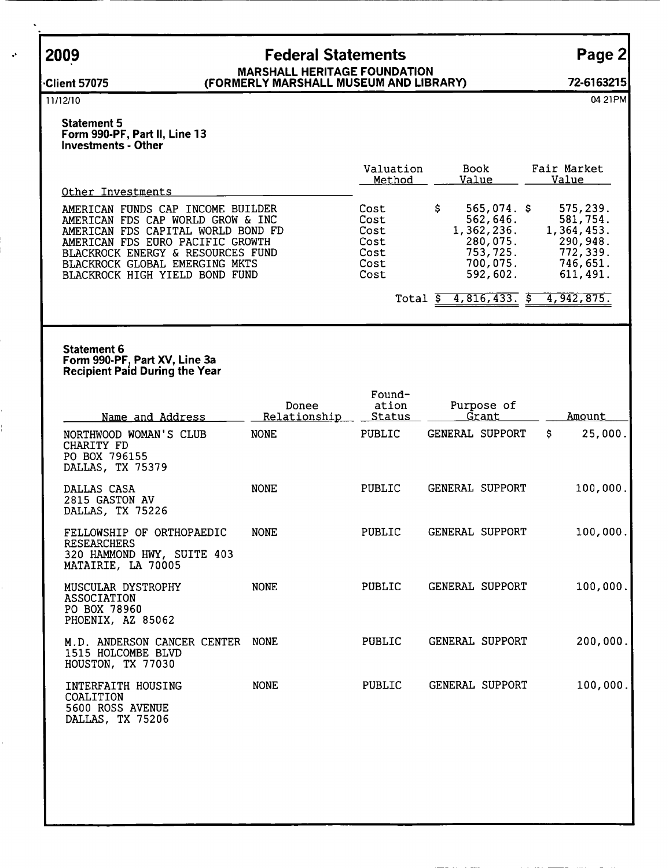l.

## 2009 Federal Statements Page 2 MARSHALL HERITAGE FOUNDATION -Client 57075 (FORMERLY MARSHALL MUSEUM AND LIBRARY) 72-6163215

## <sup>11</sup> /12/10 04 <sup>21</sup> PM

Statement 5 Form 990-PF, Part II, Line 13 Investments - Other

|                                                                                                                                                                                                                                                              | Valuation<br>Method                                  | <b>Book</b><br>Value                                                                         | Fair Market<br>Value                                                               |
|--------------------------------------------------------------------------------------------------------------------------------------------------------------------------------------------------------------------------------------------------------------|------------------------------------------------------|----------------------------------------------------------------------------------------------|------------------------------------------------------------------------------------|
| Other Investments                                                                                                                                                                                                                                            |                                                      |                                                                                              |                                                                                    |
| FUNDS CAP INCOME BUILDER<br>AMERICAN<br>AMERICAN FDS CAP WORLD GROW & INC<br>AMERICAN FDS CAPITAL WORLD BOND FD<br>AMERICAN FDS EURO PACIFIC GROWTH<br>BLACKROCK ENERGY & RESOURCES FUND<br>BLACKROCK GLOBAL EMERGING MKTS<br>BLACKROCK HIGH YIELD BOND FUND | Cost<br>Cost<br>Cost<br>Cost<br>Cost<br>Cost<br>Cost | $565,074.$ \$<br>s<br>562,646.<br>1,362,236.<br>280,075.<br>753,725.<br>700,075.<br>592,602. | 575,239.<br>581,754.<br>1,364,453.<br>290,948.<br>772,339.<br>746,651.<br>611,491. |
|                                                                                                                                                                                                                                                              | Total                                                | 4,816,433                                                                                    | 4,942,875.                                                                         |

### Statement 6 Form 990-PF, Part XV, Line 3a Recipient Paid During the Year

| Name and Address                                                                                    | Donee<br>Relationship | Found-<br>ation<br>Status | Purpose of<br>Grant    | Amount        |
|-----------------------------------------------------------------------------------------------------|-----------------------|---------------------------|------------------------|---------------|
| NORTHWOOD WOMAN'S CLUB<br>CHARITY FD<br>PO BOX 796155<br>DALLAS, TX 75379                           | <b>NONE</b>           | PUBLIC                    | <b>GENERAL SUPPORT</b> | 25,000.<br>\$ |
| DALLAS CASA<br>2815 GASTON AV<br>DALLAS, TX 75226                                                   | <b>NONE</b>           | <b>PUBLIC</b>             | GENERAL SUPPORT        | 100,000.      |
| FELLOWSHIP OF ORTHOPAEDIC<br><b>RESEARCHERS</b><br>320 HAMMOND HWY, SUITE 403<br>MATAIRIE, LA 70005 | <b>NONE</b>           | PUBLIC                    | GENERAL SUPPORT        | 100,000.      |
| MUSCULAR DYSTROPHY<br>ASSOCIATION<br>PO BOX 78960<br>PHOENIX, AZ 85062                              | <b>NONE</b>           | PUBLIC                    | GENERAL SUPPORT        | 100,000.      |
| M.D. ANDERSON CANCER CENTER<br>1515 HOLCOMBE BLVD<br>HOUSTON, TX 77030                              | <b>NONE</b>           | PUBLIC                    | GENERAL SUPPORT        | 200,000.      |
| INTERFAITH HOUSING<br>COALITION<br>5600 ROSS AVENUE<br>DALLAS, TX 75206                             | <b>NONE</b>           | PUBLIC                    | GENERAL SUPPORT        | 100,000.      |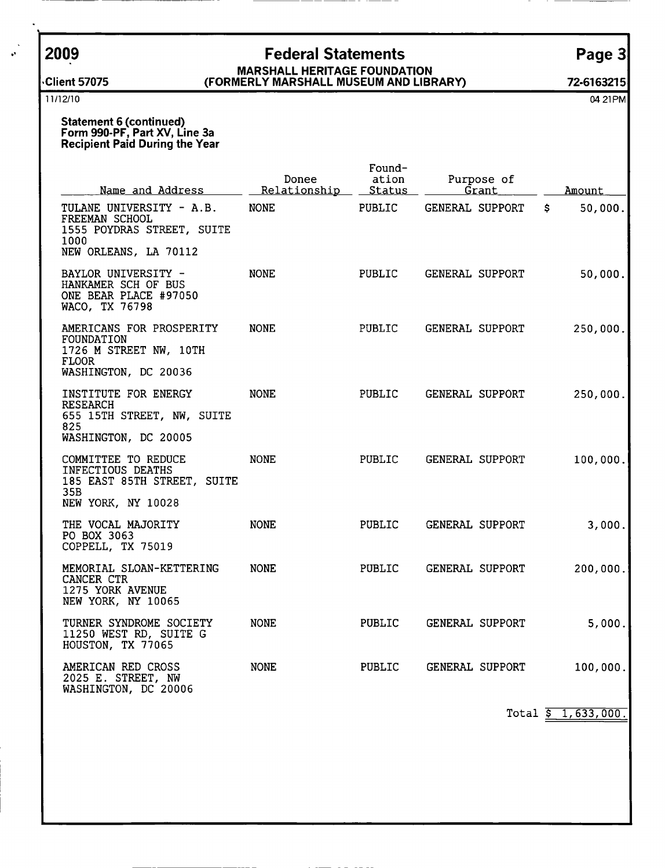## 2009 Federal Statements Page 3 MARSHALL HERITAGE FOUNDATION

## ,Client 57075 ( FORMERLY MARSHALL MUSEUM AND LIBRARY) 72-6163215

<sup>11</sup> /12/10 04 <sup>21</sup> PM

Statement 6 (continued) Form 990-PF, Part XV, Line 3a Recipient Paid During the Year

| Name and Address                                                                                          | Donee<br>Relationship | Found-<br>ation<br>Purpose of<br><u>Status</u><br>Grant |                        | Amount         |  |
|-----------------------------------------------------------------------------------------------------------|-----------------------|---------------------------------------------------------|------------------------|----------------|--|
| TULANE UNIVERSITY - A.B.<br>FREEMAN SCHOOL<br>1555 POYDRAS STREET, SUITE<br>1000<br>NEW ORLEANS, LA 70112 | <b>NONE</b>           | <b>PUBLIC</b>                                           | <b>GENERAL SUPPORT</b> | 50,000.<br>\$. |  |
| BAYLOR UNIVERSITY -<br>HANKAMER SCH OF BUS<br>ONE BEAR PLACE #97050<br>WACO, TX 76798                     | <b>NONE</b>           | PUBLIC                                                  | <b>GENERAL SUPPORT</b> | 50,000.        |  |
| AMERICANS FOR PROSPERITY<br>FOUNDATION<br>1726 M STREET NW, 10TH<br><b>FLOOR</b><br>WASHINGTON, DC 20036  | <b>NONE</b>           | <b>PUBLIC</b>                                           | GENERAL SUPPORT        | 250,000.       |  |
| INSTITUTE FOR ENERGY<br>RESEARCH<br>655 15TH STREET, NW, SUITE<br>825<br>WASHINGTON, DC 20005             | <b>NONE</b>           | PUBLIC                                                  | GENERAL SUPPORT        | 250,000.       |  |
| COMMITTEE TO REDUCE<br>INFECTIOUS DEATHS<br>185 EAST 85TH STREET, SUITE<br>35B<br>NEW YORK, NY 10028      | <b>NONE</b>           | PUBLIC                                                  | GENERAL SUPPORT        | 100,000.       |  |
| THE VOCAL MAJORITY<br>PO BOX 3063<br>COPPELL, TX 75019                                                    | <b>NONE</b>           | PUBLIC                                                  | GENERAL SUPPORT        | 3,000.         |  |
| MEMORIAL SLOAN-KETTERING<br>CANCER CTR<br>1275 YORK AVENUE<br>NEW YORK, NY 10065                          | <b>NONE</b>           | PUBLIC                                                  | GENERAL SUPPORT        | 200,000.       |  |
| TURNER SYNDROME SOCIETY<br>11250 WEST RD, SUITE G<br>HOUSTON, TX 77065                                    | <b>NONE</b>           | PUBLIC                                                  | GENERAL SUPPORT        | 5,000.         |  |
| AMERICAN RED CROSS<br>2025 E. STREET, NW<br>WASHINGTON, DC 20006                                          | <b>NONE</b>           | PUBLIC                                                  | GENERAL SUPPORT        | 100,000.       |  |

Total  $\frac{1}{5}$  1, 633, 000.